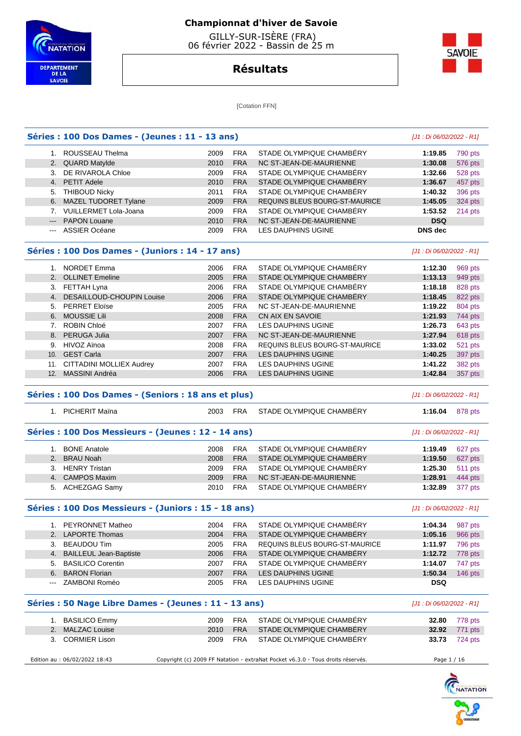

T.

#### **Championnat d'hiver de Savoie**

 GILLY-SUR-ISÈRE (FRA) 06 février 2022 - Bassin de 25 m

# **SAVOIE**

# **Résultats**

[Cotation FFN]

|                                                                                                                                                                                                                                                                                                                                                                                                                                                                            | Séries : 100 Dos Dames - (Jeunes : 11 - 13 ans) |      |            |                                |            |           |  |
|----------------------------------------------------------------------------------------------------------------------------------------------------------------------------------------------------------------------------------------------------------------------------------------------------------------------------------------------------------------------------------------------------------------------------------------------------------------------------|-------------------------------------------------|------|------------|--------------------------------|------------|-----------|--|
|                                                                                                                                                                                                                                                                                                                                                                                                                                                                            | ROUSSEAU Thelma                                 | 2009 | <b>FRA</b> | STADE OLYMPIQUE CHAMBÉRY       | 1:19.85    | 790 pts   |  |
|                                                                                                                                                                                                                                                                                                                                                                                                                                                                            | 2. QUARD Matylde                                | 2010 | <b>FRA</b> | NC ST-JEAN-DE-MAURIENNE        | 1:30.08    | 576 pts   |  |
| 3.                                                                                                                                                                                                                                                                                                                                                                                                                                                                         | DE RIVAROLA Chloe                               | 2009 | <b>FRA</b> | STADE OLYMPIQUE CHAMBÉRY       | 1:32.66    | 528 pts   |  |
|                                                                                                                                                                                                                                                                                                                                                                                                                                                                            | 4. PETIT Adele                                  | 2010 | <b>FRA</b> | STADE OLYMPIQUE CHAMBÉRY       | 1:36.67    | 457 pts   |  |
|                                                                                                                                                                                                                                                                                                                                                                                                                                                                            | 5. THIBOUD Nicky                                | 2011 | <b>FRA</b> | STADE OLYMPIQUE CHAMBÉRY       | 1:40.32    | 396 pts   |  |
|                                                                                                                                                                                                                                                                                                                                                                                                                                                                            | 6. MAZEL TUDORET Tylane                         | 2009 | <b>FRA</b> | REQUINS BLEUS BOURG-ST-MAURICE | 1:45.05    | 324 pts   |  |
|                                                                                                                                                                                                                                                                                                                                                                                                                                                                            | <b>VUILLERMET Lola-Joana</b>                    | 2009 | <b>FRA</b> | STADE OLYMPIQUE CHAMBÉRY       | 1:53.52    | $214$ pts |  |
|                                                                                                                                                                                                                                                                                                                                                                                                                                                                            | --- PAPON Louane                                | 2010 | <b>FRA</b> | NC ST-JEAN-DE-MAURIENNE        | <b>DSQ</b> |           |  |
| $\frac{1}{2} \left( \frac{1}{2} \right) \left( \frac{1}{2} \right) \left( \frac{1}{2} \right) \left( \frac{1}{2} \right) \left( \frac{1}{2} \right) \left( \frac{1}{2} \right) \left( \frac{1}{2} \right) \left( \frac{1}{2} \right) \left( \frac{1}{2} \right) \left( \frac{1}{2} \right) \left( \frac{1}{2} \right) \left( \frac{1}{2} \right) \left( \frac{1}{2} \right) \left( \frac{1}{2} \right) \left( \frac{1}{2} \right) \left( \frac{1}{2} \right) \left( \frac$ | ASSIER Océane                                   | 2009 | <b>FRA</b> | LES DAUPHINS UGINE             | DNS dec    |           |  |

#### **Séries : 100 Dos Dames - (Juniors : 14 - 17 ans)** [J1 : Di 06/02/2022 - R1]

|     | <b>NORDET Emma</b>               | 2006 | <b>FRA</b> | STADE OLYMPIQUE CHAMBÉRY       | 1:12.30 | 969 pts |
|-----|----------------------------------|------|------------|--------------------------------|---------|---------|
|     | 2. OLLINET Emeline               | 2005 | <b>FRA</b> | STADE OLYMPIQUE CHAMBÉRY       | 1:13.13 | 949 pts |
| 3.  | FETTAH Lyna                      | 2006 | <b>FRA</b> | STADE OLYMPIQUE CHAMBÉRY       | 1:18.18 | 828 pts |
| 4.  | <b>DESAILLOUD-CHOUPIN Louise</b> | 2006 | <b>FRA</b> | STADE OLYMPIQUE CHAMBERY       | 1:18.45 | 822 pts |
|     | 5. PERRET Eloïse                 | 2005 | <b>FRA</b> | NC ST-JEAN-DE-MAURIENNE        | 1:19.22 | 804 pts |
|     | 6. MOUSSIE Lili                  | 2008 | <b>FRA</b> | CN AIX EN SAVOIE               | 1:21.93 | 744 pts |
|     | <b>ROBIN Chloé</b>               | 2007 | <b>FRA</b> | LES DAUPHINS UGINE             | 1:26.73 | 643 pts |
|     | 8. PERUGA Julia                  | 2007 | <b>FRA</b> | NC ST-JEAN-DE-MAURIENNE        | 1:27.94 | 618 pts |
| 9.  | HIVOZ Aïnoa                      | 2008 | <b>FRA</b> | REQUINS BLEUS BOURG-ST-MAURICE | 1:33.02 | 521 pts |
| 10. | <b>GEST Carla</b>                | 2007 | <b>FRA</b> | <b>LES DAUPHINS UGINE</b>      | 1:40.25 | 397 pts |
| 11. | CITTADINI MOLLIEX Audrey         | 2007 | <b>FRA</b> | LES DAUPHINS UGINE             | 1:41.22 | 382 pts |
| 12. | MASSINI Andréa                   | 2006 | <b>FRA</b> | <b>LES DAUPHINS UGINE</b>      | 1:42.84 | 357 pts |
|     |                                  |      |            |                                |         |         |

#### **Séries : 100 Dos Dames - (Seniors : 18 ans et plus)** [J1 : Di 06/02/2022 - R1]

|                                                     | 1. PICHERIT Maïna                                    | 2003 | <b>FRA</b> | STADE OLYMPIQUE CHAMBERY       | 1:16.04                   | 878 pts |
|-----------------------------------------------------|------------------------------------------------------|------|------------|--------------------------------|---------------------------|---------|
| Séries : 100 Dos Messieurs - (Jeunes : 12 - 14 ans) | [J1 : Di 06/02/2022 - R1]                            |      |            |                                |                           |         |
|                                                     | <b>BONE Anatole</b>                                  | 2008 | <b>FRA</b> | STADE OLYMPIQUE CHAMBERY       | 1:19.49                   | 627 pts |
|                                                     | 2. BRAU Noah                                         | 2008 | <b>FRA</b> | STADE OLYMPIQUE CHAMBÉRY       | 1:19.50                   | 627 pts |
|                                                     | 3. HENRY Tristan                                     | 2009 | <b>FRA</b> | STADE OLYMPIQUE CHAMBÉRY       | 1:25.30                   | 511 pts |
|                                                     | 4. CAMPOS Maxim                                      | 2009 | <b>FRA</b> | NC ST-JEAN-DE-MAURIENNE        | 1:28.91                   | 444 pts |
|                                                     | 5. ACHEZGAG Samy                                     | 2010 | <b>FRA</b> | STADE OLYMPIQUE CHAMBÉRY       | 1:32.89                   | 377 pts |
|                                                     | Séries : 100 Dos Messieurs - (Juniors : 15 - 18 ans) |      |            |                                | [J1 : Di 06/02/2022 - R1] |         |
|                                                     | 1. PEYRONNET Matheo                                  | 2004 | <b>FRA</b> | STADE OLYMPIQUE CHAMBÉRY       | 1:04.34                   | 987 pts |
|                                                     | 2. LAPORTE Thomas                                    | 2004 | <b>FRA</b> | STADE OLYMPIQUE CHAMBERY       | 1:05.16                   | 966 pts |
|                                                     | 3. BEAUDOU Tim                                       | 2005 | <b>FRA</b> | REQUINS BLEUS BOURG-ST-MAURICE | 1:11.97                   | 796 pts |

| BEAUDOU Tim               | 2005 | <b>FRA</b> | REQUINS BLEUS BOURG-ST-MAURICE | 1:11.97 796 pts        |                   |
|---------------------------|------|------------|--------------------------------|------------------------|-------------------|
| 4. BAILLEUL Jean-Baptiste | 2006 | <b>FRA</b> | STADE OLYMPIQUE CHAMBÉRY       | <b>1:12.72</b> 778 pts |                   |
| 5. BASILICO Corentin      | 2007 | FRA        | STADE OLYMPIQUE CHAMBERY       | 1:14.07 747 pts        |                   |
| 6. BARON Florian          | 2007 | <b>FRA</b> | LES DAUPHINS UGINE             | 1:50.34                | $146 \text{ pts}$ |
| --- ZAMBONI Roméo         | 2005 | FRA        | LES DAUPHINS UGINE             | <b>DSQ</b>             |                   |

#### **Séries : 50 Nage Libre Dames - (Jeunes : 11 - 13 ans)** [J1 : Di 06/02/2022 - R1]

| 1. BASILICO Emmy |  | 2009 FRA STADE OLYMPIQUE CHAMBÉRY | <b>32.80</b> 778 pts |
|------------------|--|-----------------------------------|----------------------|
| 2. MALZAC Louise |  | 2010 FRA STADE OLYMPIQUE CHAMBÉRY | <b>32.92</b> 771 pts |
| 3. CORMIER Lison |  | 2009 FRA STADE OLYMPIQUE CHAMBÉRY | <b>33.73</b> 724 pts |

| Edition au :<br>: 06/02/2022 18:43 | .) 2009 FF Natation - extraNat Pocket v6.3.0 - Tous droits réservés.<br>Convright (c) | Page 1 / 16 |
|------------------------------------|---------------------------------------------------------------------------------------|-------------|
|------------------------------------|---------------------------------------------------------------------------------------|-------------|



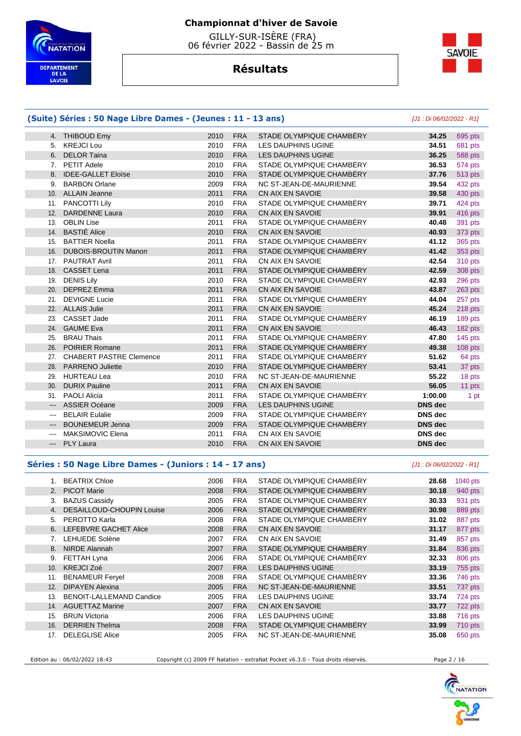

 GILLY-SUR-ISÈRE (FRA) 06 février 2022 - Bassin de 25 m

# **Résultats**



# **(Suite) Séries : 50 Nage Libre Dames - (Jeunes : 11 - 13 ans)** [J1 : Di 06/02/2022 - R1]

#### 4. THIBOUD Emy 2010 FRA STADE OLYMPIQUE CHAMBÉRY **34.25** 695 pts 5. KREJCI Lou 2010 FRA LES DAUPHINS UGINE **34.51** 681 pts 6. DELOR Taina 2010 FRA LES DAUPHINS UGINE **36.25** 588 pts 7. PETIT Adele 2010 FRA STADE OLYMPIQUE CHAMBÉRY **36.53** 574 pts 8. IDEE-GALLET Eloïse 2010 FRA STADE OLYMPIQUE CHAMBÉRY **37.76** 513 pts 9. BARBON Orlane 2009 FRA NC ST-JEAN-DE-MAURIENNE **39.54** 432 pts 10. ALLAIN Jeanne 2011 FRA CN AIX EN SAVOIE **39.58** 430 pts 11. PANCOTTI Lily 2010 FRA STADE OLYMPIQUE CHAMBÉRY **39.71** 424 pts 12. DARDENNE Laura 2010 FRA CN AIX EN SAVOIE **39.91** 416 pts 13. OBLIN Lise 2011 FRA STADE OLYMPIQUE CHAMBÉRY **40.48** 391 pts 14. BASTIÉ Alice 2010 FRA CN AIX EN SAVOIE **40.93** 373 pts 15. BATTIER Noella 2011 FRA STADE OLYMPIQUE CHAMBÉRY **41.12** 365 pts 16. DUBOIS-BROUTIN Manon 2011 FRA STADE OLYMPIQUE CHAMBÉRY **41.42** 353 pts 17. PAUTRAT Avril 2011 FRA CN AIX EN SAVOIE **42.54** 310 pts 18. CASSET Lena 2011 FRA STADE OLYMPIQUE CHAMBÉRY **42.59** 308 pts 19. DENIS Lily 2010 FRA STADE OLYMPIQUE CHAMBÉRY **42.93** 296 pts 20. DEPREZ Emma 2011 FRA CN AIX EN SAVOIE **43.87** 263 pts 21. DEVIGNE Lucie 2011 FRA STADE OLYMPIQUE CHAMBÉRY **44.04** 257 pts 22. ALLAIS Julie 2011 FRA CN AIX EN SAVOIE **45.24** 218 pts 23. CASSET Jade 2011 FRA STADE OLYMPIQUE CHAMBÉRY **46.19** 189 pts 24. GAUME Eva 2011 FRA CN AIX EN SAVOIE **46.43** 182 pts 25. BRAU Thais 2011 FRA STADE OLYMPIQUE CHAMBÉRY **47.80** 145 pts 26. POIRIER Romane 2011 FRA STADE OLYMPIQUE CHAMBÉRY **49.38** 108 pts 27. CHABERT PASTRE Clemence 2011 FRA STADE OLYMPIQUE CHAMBÉRY **51.62** 64 pts 28. PARRENO Juliette 2010 FRA STADE OLYMPIQUE CHAMBÉRY **53.41** 37 pts 29. HURTEAU Lea 2010 FRA NC ST-JEAN-DE-MAURIENNE **55.22** 18 pts 30. DURIX Pauline 2011 FRA CN AIX EN SAVOIE **56.05** 11 pts 31. PAOLI Alicia 2011 FRA STADE OLYMPIQUE CHAMBÉRY **1:00.00** 1 pt --- ASSIER Océane 2009 FRA LES DAUPHINS UGINE **DNS dec**  --- BELAIR Eulalie 2009 FRA STADE OLYMPIQUE CHAMBÉRY **DNS dec**  --- BOUNEMEUR Jenna 2009 FRA STADE OLYMPIQUE CHAMBÉRY **DNS dec**  --- MAKSIMOVIC Elena 2011 FRA CN AIX EN SAVOIE **DNS dec**  --- PLY Laura 2010 FRA CN AIX EN SAVOIE **DNS dec**

#### **Séries : 50 Nage Libre Dames - (Juniors : 14 - 17 ans)** [J1 : Di 06/02/2022 - R1]

|     | <b>BEATRIX Chloe</b>             | 2006 | <b>FRA</b> | STADE OLYMPIQUE CHAMBERY | 28.68 | 1040 pts |
|-----|----------------------------------|------|------------|--------------------------|-------|----------|
| 2.  | <b>PICOT Marie</b>               | 2008 | <b>FRA</b> | STADE OLYMPIQUE CHAMBÉRY | 30.18 | 940 pts  |
| 3.  | <b>BAZUS Cassidy</b>             | 2005 | <b>FRA</b> | STADE OLYMPIQUE CHAMBÉRY | 30.33 | 931 pts  |
| 4.  | <b>DESAILLOUD-CHOUPIN Louise</b> | 2006 | <b>FRA</b> | STADE OLYMPIQUE CHAMBÉRY | 30.98 | 889 pts  |
| 5.  | PEROTTO Karla                    | 2008 | <b>FRA</b> | STADE OLYMPIQUE CHAMBÉRY | 31.02 | 887 pts  |
| 6.  | <b>LEFEBVRE GACHET Alice</b>     | 2008 | <b>FRA</b> | CN AIX EN SAVOIE         | 31.17 | 877 pts  |
| 7.  | <b>LEHUEDE Solène</b>            | 2007 | <b>FRA</b> | CN AIX EN SAVOIE         | 31.49 | 857 pts  |
| 8.  | NIRDE Alannah                    | 2007 | <b>FRA</b> | STADE OLYMPIQUE CHAMBÉRY | 31.84 | 836 pts  |
| 9.  | FETTAH Lyna                      | 2006 | <b>FRA</b> | STADE OLYMPIQUE CHAMBERY | 32.33 | 806 pts  |
| 10. | <b>KREJCI Zoé</b>                | 2007 | <b>FRA</b> | LES DAUPHINS UGINE       | 33.19 | 755 pts  |
| 11. | <b>BENAMEUR Feryel</b>           | 2008 | <b>FRA</b> | STADE OLYMPIQUE CHAMBERY | 33.36 | 746 pts  |
| 12. | <b>DIPAYEN Alexina</b>           | 2005 | <b>FRA</b> | NC ST-JEAN-DE-MAURIENNE  | 33.51 | 737 pts  |
| 13. | <b>BENOIT-LALLEMAND Candice</b>  | 2005 | <b>FRA</b> | LES DAUPHINS UGINE       | 33.74 | 724 pts  |
| 14. | <b>AGUETTAZ Marine</b>           | 2007 | <b>FRA</b> | CN AIX EN SAVOIE         | 33.77 | 722 pts  |
| 15. | <b>BRUN Victoria</b>             | 2006 | <b>FRA</b> | LES DAUPHINS UGINE       | 33.88 | 716 pts  |
| 16. | <b>DERRIEN Thelma</b>            | 2008 | <b>FRA</b> | STADE OLYMPIQUE CHAMBERY | 33.99 | 710 pts  |
| 17. | <b>DELEGLISE Alice</b>           | 2005 | <b>FRA</b> | NC ST-JEAN-DE-MAURIENNE  | 35.08 | 650 pts  |

Edition au : 06/02/2022 18:43 Copyright (c) 2009 FF Natation - extraNat Pocket v6.3.0 - Tous droits réservés. Page 2 / 16

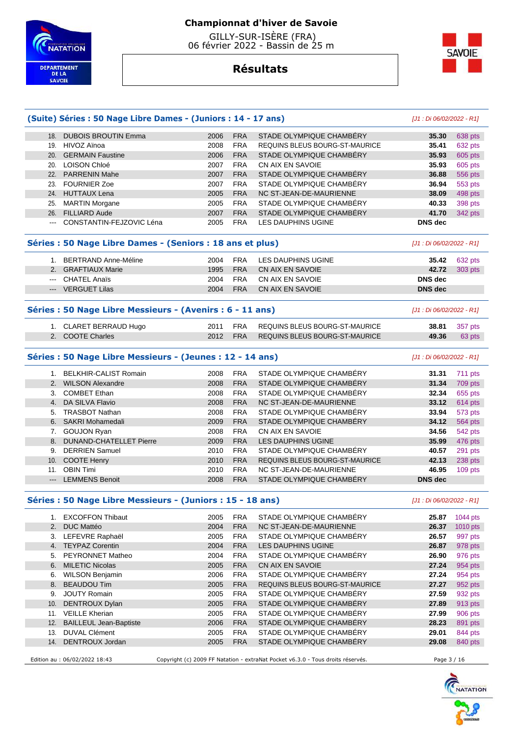



# **Résultats**

| (Suite) Séries : 50 Nage Libre Dames - (Juniors : 14 - 17 ans) |      |            |                                       | [J1 : Di 06/02/2022 - R1] |          |  |
|----------------------------------------------------------------|------|------------|---------------------------------------|---------------------------|----------|--|
| 18. DUBOIS BROUTIN Emma                                        | 2006 | <b>FRA</b> | STADE OLYMPIQUE CHAMBERY              | 35.30                     | 638 pts  |  |
| 19. HIVOZ Aïnoa                                                | 2008 | <b>FRA</b> | <b>REQUINS BLEUS BOURG-ST-MAURICE</b> | 35.41                     | 632 pts  |  |
| 20. GERMAIN Faustine                                           | 2006 | <b>FRA</b> | STADE OLYMPIQUE CHAMBERY              | 35.93                     | 605 pts  |  |
| 20. LOISON Chloé                                               | 2007 | <b>FRA</b> | CN AIX EN SAVOIE                      | 35.93                     | 605 pts  |  |
| 22. PARRENIN Mahe                                              | 2007 | <b>FRA</b> | STADE OLYMPIQUE CHAMBERY              | 36.88                     | 556 pts  |  |
| 23. FOURNIER Zoe                                               | 2007 | <b>FRA</b> | STADE OLYMPIQUE CHAMBERY              | 36.94                     | 553 pts  |  |
| 24. HUTTAUX Lena                                               | 2005 | <b>FRA</b> | NC ST-JEAN-DE-MAURIENNE               | 38.09                     | 498 pts  |  |
| 25. MARTIN Morgane                                             | 2005 | <b>FRA</b> | STADE OLYMPIQUE CHAMBERY              | 40.33                     | 398 pts  |  |
| 26. FILLIARD Aude                                              | 2007 | <b>FRA</b> | STADE OLYMPIQUE CHAMBÉRY              | 41.70                     | 342 pts  |  |
| --- CONSTANTIN-FEJZOVIC Léna                                   | 2005 | <b>FRA</b> | <b>LES DAUPHINS UGINE</b>             | <b>DNS</b> dec            |          |  |
| Séries : 50 Nage Libre Dames - (Seniors : 18 ans et plus)      |      |            |                                       |                           |          |  |
| 1. BERTRAND Anne-Méline                                        | 2004 | <b>FRA</b> | LES DAUPHINS UGINE                    | 35.42                     | 632 pts  |  |
| 2. GRAFTIAUX Marie                                             | 1995 | <b>FRA</b> | CN AIX EN SAVOIE                      | 42.72                     | 303 pts  |  |
| --- CHATEL Anaïs                                               | 2004 | <b>FRA</b> | CN AIX EN SAVOIE                      | <b>DNS</b> dec            |          |  |
| --- VERGUET Lilas                                              | 2004 | <b>FRA</b> | CN AIX EN SAVOIE                      | <b>DNS</b> dec            |          |  |
| Séries : 50 Nage Libre Messieurs - (Avenirs : 6 - 11 ans)      |      |            |                                       |                           |          |  |
| 1. CLARET BERRAUD Hugo                                         | 2011 | <b>FRA</b> | REQUINS BLEUS BOURG-ST-MAURICE        | 38.81                     | 357 pts  |  |
| 2. COOTE Charles                                               | 2012 | <b>FRA</b> | REQUINS BLEUS BOURG-ST-MAURICE        | 49.36                     | 63 pts   |  |
| Séries : 50 Nage Libre Messieurs - (Jeunes : 12 - 14 ans)      |      |            |                                       | [J1 : Di 06/02/2022 - R1] |          |  |
| 1. BELKHIR-CALIST Romain                                       | 2008 | <b>FRA</b> | STADE OLYMPIQUE CHAMBÉRY              | 31.31                     | 711 pts  |  |
| 2. WILSON Alexandre                                            | 2008 | <b>FRA</b> | STADE OLYMPIQUE CHAMBÉRY              | 31.34                     | 709 pts  |  |
| 3. COMBET Ethan                                                | 2008 | <b>FRA</b> | STADE OLYMPIQUE CHAMBERY              | 32.34                     | 655 pts  |  |
| 4. DA SILVA Flavio                                             | 2008 | <b>FRA</b> | NC ST-JEAN-DE-MAURIENNE               | 33.12                     | 614 pts  |  |
| 5. TRASBOT Nathan                                              | 2008 | <b>FRA</b> | STADE OLYMPIQUE CHAMBERY              | 33.94                     | 573 pts  |  |
| 6. SAKRI Mohamedali                                            | 2009 | <b>FRA</b> | STADE OLYMPIQUE CHAMBÉRY              | 34.12                     | 564 pts  |  |
| 7. GOUJON Ryan                                                 | 2008 | <b>FRA</b> | CN AIX EN SAVOIE                      | 34.56                     | 542 pts  |  |
| 8. DUNAND-CHATELLET Pierre                                     | 2009 | <b>FRA</b> | <b>LES DAUPHINS UGINE</b>             | 35.99                     | 476 pts  |  |
| 9. DERRIEN Samuel                                              | 2010 | <b>FRA</b> | STADE OLYMPIQUE CHAMBERY              | 40.57                     | 291 pts  |  |
| 10. COOTE Henry                                                | 2010 | <b>FRA</b> | REQUINS BLEUS BOURG-ST-MAURICE        | 42.13                     | 238 pts  |  |
| 11. OBIN Timi                                                  | 2010 | <b>FRA</b> | NC ST-JEAN-DE-MAURIENNE               | 46.95                     | 109 pts  |  |
| --- LEMMENS Benoit                                             | 2008 | <b>FRA</b> | STADE OLYMPIQUE CHAMBERY              | <b>DNS</b> dec            |          |  |
| Séries : 50 Nage Libre Messieurs - (Juniors : 15 - 18 ans)     |      |            |                                       | [J1 : Di 06/02/2022 - R1] |          |  |
| 1. EXCOFFON Thibaut                                            | 2005 | <b>FRA</b> | STADE OLYMPIQUE CHAMBERY              | 25.87                     | 1044 pts |  |
| 2. DUC Mattéo                                                  | 2004 | <b>FRA</b> | NC ST-JEAN-DE-MAURIENNE               | 26.37                     | 1010 pts |  |
| 3. LEFEVRE Raphaël                                             | 2005 | <b>FRA</b> | STADE OLYMPIQUE CHAMBERY              | 26.57                     | 997 pts  |  |
| 4. TEYPAZ Corentin                                             | 2004 | <b>FRA</b> | LES DAUPHINS UGINE                    | 26.87                     | 978 pts  |  |

 5. PEYRONNET Matheo 2004 FRA STADE OLYMPIQUE CHAMBÉRY **26.90** 976 pts 6. MILETIC Nicolas 2005 FRA CN AIX EN SAVOIE **27.24** 954 pts 6. WILSON Benjamin 2006 FRA STADE OLYMPIQUE CHAMBÉRY **27.24** 954 pts 8. BEAUDOU Tim 2005 FRA REQUINS BLEUS BOURG-ST-MAURICE **27.27** 952 pts 9. JOUTY Romain 2005 FRA STADE OLYMPIQUE CHAMBÉRY **27.59** 932 pts 10. DENTROUX Dylan 2005 FRA STADE OLYMPIQUE CHAMBÉRY **27.89** 913 pts 11. VEILLE Kherian 2005 FRA STADE OLYMPIQUE CHAMBÉRY **27.99** 906 pts 12. BAILLEUL Jean-Baptiste 2006 FRA STADE OLYMPIQUE CHAMBÉRY **28.23** 891 pts 13. DUVAL Clément 2005 FRA STADE OLYMPIQUE CHAMBÉRY **29.01** 844 pts 14. DENTROUX Jordan 2005 FRA STADE OLYMPIQUE CHAMBÉRY **29.08** 840 pts



Edition au : 06/02/2022 18:43 Copyright (c) 2009 FF Natation - extraNat Pocket v6.3.0 - Tous droits réservés. Page 3 / 16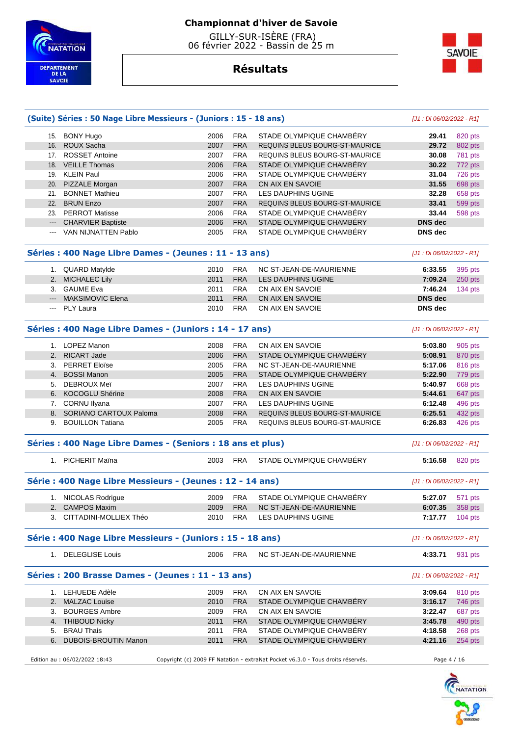

 GILLY-SUR-ISÈRE (FRA) 06 février 2022 - Bassin de 25 m

**Résultats**



# **(Suite) Séries : 50 Nage Libre Messieurs - (Juniors : 15 - 18 ans)** [J1 : Di 06/02/2022 - R1] 15. BONY Hugo 2006 FRA STADE OLYMPIQUE CHAMBÉRY **29.41** 820 pts 16. ROUX Sacha 2007 FRA REQUINS BLEUS BOURG-ST-MAURICE **29.72** 802 pts 17. ROSSET Antoine 2007 FRA REQUINS BLEUS BOURG-ST-MAURICE **30.08** 781 pts 18. VEILLE Thomas 2006 FRA STADE OLYMPIQUE CHAMBÉRY **30.22** 772 pts 19. KLEIN Paul 2006 FRA STADE OLYMPIQUE CHAMBÉRY **31.04** 726 pts 20. PIZZALE Morgan 2007 FRA CN AIX EN SAVOIE **31.55** 698 pts 21. BONNET Mathieu 2007 FRA LES DAUPHINS UGINE **32.28** 658 pts 22. BRUN Enzo 2007 FRA REQUINS BLEUS BOURG-ST-MAURICE **33.41** 599 pts 23. PERROT Matisse 2006 FRA STADE OLYMPIQUE CHAMBÉRY **33.44** 598 pts --- CHARVIER Baptiste 2006 FRA STADE OLYMPIQUE CHAMBÉRY **DNS dec**  --- VAN NIJNATTEN Pablo 2005 FRA STADE OLYMPIQUE CHAMBÉRY **DNS dec Séries : 400 Nage Libre Dames - (Jeunes : 11 - 13 ans)** [J1 : Di 06/02/2022 - R1] 1. QUARD Matylde 2010 FRA NC ST-JEAN-DE-MAURIENNE **6:33.55** 395 pts 2. MICHALEC Lily 2011 FRA LES DAUPHINS UGINE **7:09.24** 250 pts 3. GAUME Eva 2011 FRA CN AIX EN SAVOIE **7:46.24** 134 pts --- MAKSIMOVIC Elena 2011 FRA CN AIX EN SAVOIE **DNS dec**  --- PLY Laura 2010 FRA CN AIX EN SAVOIE **DNS dec Séries : 400 Nage Libre Dames - (Juniors : 14 - 17 ans)** [J1 : Di 06/02/2022 - R1] 1. LOPEZ Manon 2008 FRA CN AIX EN SAVOIE **5:03.80** 905 pts 2. RICART Jade 2006 FRA STADE OLYMPIQUE CHAMBÉRY **5:08.91** 870 pts 3. PERRET Eloïse 2005 FRA NC ST-JEAN-DE-MAURIENNE **5:17.06** 816 pts 4. BOSSI Manon 2005 FRA STADE OLYMPIQUE CHAMBÉRY **5:22.90** 779 pts 5. DEBROUX Meï 2007 FRA LES DAUPHINS UGINE **5:40.97** 668 pts 6. KOCOGLU Shérine 2008 FRA CN AIX EN SAVOIE **5:44.61** 647 pts 7. CORNU Ilyana 2007 FRA LES DAUPHINS UGINE **6:12.48** 496 pts 8. SORIANO CARTOUX Paloma 2008 FRA REQUINS BLEUS BOURG-ST-MAURICE **6:25.51** 432 pts 9. BOUILLON Tatiana 2005 FRA REQUINS BLEUS BOURG-ST-MAURICE **6:26.83** 426 pts **Séries : 400 Nage Libre Dames - (Seniors : 18 ans et plus)** [J1 : Di 06/02/2022 - R1] 1. PICHERIT Maïna 2003 FRA STADE OLYMPIQUE CHAMBÉRY **5:16.58** 820 pts **Série : 400 Nage Libre Messieurs - (Jeunes : 12 - 14 ans)** [J1 : Di 06/02/2022 - R1] 1. NICOLAS Rodrigue 2009 FRA STADE OLYMPIQUE CHAMBÉRY **5:27.07** 571 pts 2. CAMPOS Maxim 2009 FRA NC ST-JEAN-DE-MAURIENNE **6:07.35** 358 pts 3. CITTADINI-MOLLIEX Théo 2010 FRA LES DAUPHINS UGINE **7:17.77** 104 pts **Série : 400 Nage Libre Messieurs - (Juniors : 15 - 18 ans)** [J1 : Di 06/02/2022 - R1] 1. DELEGLISE Louis 2006 FRA NC ST-JEAN-DE-MAURIENNE **4:33.71** 931 pts **Séries : 200 Brasse Dames - (Jeunes : 11 - 13 ans)** [J1 : Di 06/02/2022 - R1] 1. LEHUEDE Adèle 2009 FRA CN AIX EN SAVOIE **3:09.64** 810 pts 2. MALZAC Louise 2010 FRA STADE OLYMPIQUE CHAMBÉRY **3:16.17** 746 pts 3. BOURGES Ambre 2009 FRA CN AIX EN SAVOIE **3:22.47** 687 pts 4. THIBOUD Nicky 2011 FRA STADE OLYMPIQUE CHAMBÉRY **3:45.78** 490 pts 5. BRAU Thais 2011 FRA STADE OLYMPIQUE CHAMBÉRY **4:18.58** 268 pts 6. DUBOIS-BROUTIN Manon 2011 FRA STADE OLYMPIQUE CHAMBÉRY **4:21.16** 254 pts Edition au : 06/02/2022 18:43 Copyright (c) 2009 FF Natation - extraNat Pocket v6.3.0 - Tous droits réservés. Page 4 / 16

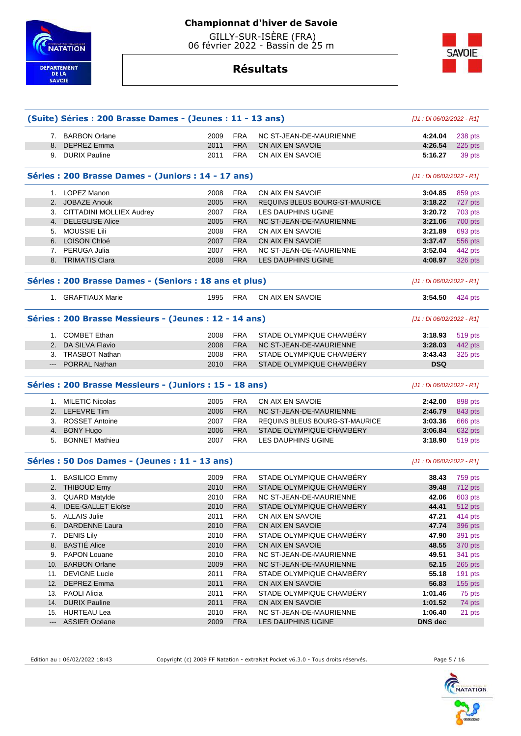

 GILLY-SUR-ISÈRE (FRA) 06 février 2022 - Bassin de 25 m

**Résultats**



|     | (Suite) Séries : 200 Brasse Dames - (Jeunes : 11 - 13 ans) |                           |            |                                | [J1 : Di 06/02/2022 - R1] |           |
|-----|------------------------------------------------------------|---------------------------|------------|--------------------------------|---------------------------|-----------|
|     | 7. BARBON Orlane                                           | 2009                      | <b>FRA</b> | NC ST-JEAN-DE-MAURIENNE        | 4:24.04                   | 238 pts   |
| 8.  | <b>DEPREZ Emma</b>                                         | 2011                      | <b>FRA</b> | CN AIX EN SAVOIE               | 4:26.54                   | 225 pts   |
|     | 9. DURIX Pauline                                           | 2011                      | <b>FRA</b> | CN AIX EN SAVOIE               | 5:16.27                   | 39 pts    |
|     | Séries : 200 Brasse Dames - (Juniors : 14 - 17 ans)        |                           |            |                                | [J1 : Di 06/02/2022 - R1] |           |
|     | 1. LOPEZ Manon                                             | 2008                      | <b>FRA</b> | CN AIX EN SAVOIE               | 3:04.85                   | 859 pts   |
|     | 2. JOBAZE Anouk                                            | 2005                      | <b>FRA</b> | REQUINS BLEUS BOURG-ST-MAURICE | 3:18.22                   | 727 pts   |
|     | 3. CITTADINI MOLLIEX Audrey                                | 2007                      | <b>FRA</b> | LES DAUPHINS UGINE             | 3:20.72                   | 703 pts   |
|     | 4. DELEGLISE Alice                                         | 2005                      | <b>FRA</b> | NC ST-JEAN-DE-MAURIENNE        | 3:21.06                   | 700 pts   |
| 5.  | <b>MOUSSIE Lili</b>                                        | 2008                      | <b>FRA</b> | CN AIX EN SAVOIE               | 3:21.89                   | 693 pts   |
|     | 6. LOISON Chloé                                            | 2007                      | <b>FRA</b> | CN AIX EN SAVOIE               | 3:37.47                   | 556 pts   |
|     | 7. PERUGA Julia                                            | 2007                      | <b>FRA</b> | NC ST-JEAN-DE-MAURIENNE        | 3:52.04                   | 442 pts   |
|     | 8. TRIMATIS Clara                                          | 2008                      | <b>FRA</b> | LES DAUPHINS UGINE             | 4:08.97                   | 326 pts   |
|     | Séries : 200 Brasse Dames - (Seniors : 18 ans et plus)     |                           |            |                                | [J1 : Di 06/02/2022 - R1] |           |
|     | 1. GRAFTIAUX Marie                                         | 1995                      | <b>FRA</b> | CN AIX EN SAVOIE               | 3:54.50                   | 424 pts   |
|     | Séries : 200 Brasse Messieurs - (Jeunes : 12 - 14 ans)     | [J1 : Di 06/02/2022 - R1] |            |                                |                           |           |
|     | 1. COMBET Ethan                                            | 2008                      | <b>FRA</b> | STADE OLYMPIQUE CHAMBERY       | 3:18.93                   | 519 pts   |
| 2.  | DA SILVA Flavio                                            | 2008                      | <b>FRA</b> | NC ST-JEAN-DE-MAURIENNE        | 3:28.03                   | 442 pts   |
|     | 3. TRASBOT Nathan                                          | 2008                      | <b>FRA</b> | STADE OLYMPIQUE CHAMBÉRY       | 3:43.43                   | 325 pts   |
|     | --- PORRAL Nathan                                          | 2010                      | <b>FRA</b> | STADE OLYMPIQUE CHAMBÉRY       | <b>DSQ</b>                |           |
|     | Séries : 200 Brasse Messieurs - (Juniors : 15 - 18 ans)    |                           |            |                                | [J1 : Di 06/02/2022 - R1] |           |
|     | 1. MILETIC Nicolas                                         | 2005                      | <b>FRA</b> | CN AIX EN SAVOIE               | 2:42.00                   | 898 pts   |
|     | 2. LEFEVRE Tim                                             | 2006                      | <b>FRA</b> | NC ST-JEAN-DE-MAURIENNE        | 2:46.79                   | 843 pts   |
|     | 3. ROSSET Antoine                                          | 2007                      | <b>FRA</b> | REQUINS BLEUS BOURG-ST-MAURICE | 3:03.36                   | 666 pts   |
|     | 4. BONY Hugo                                               | 2006                      | <b>FRA</b> | STADE OLYMPIQUE CHAMBERY       | 3:06.84                   | 632 pts   |
| 5.  | <b>BONNET Mathieu</b>                                      | 2007                      | <b>FRA</b> | <b>LES DAUPHINS UGINE</b>      | 3:18.90                   | 519 pts   |
|     | Séries : 50 Dos Dames - (Jeunes : 11 - 13 ans)             |                           |            |                                | [J1 : Di 06/02/2022 - R1] |           |
|     | 1. BASILICO Emmy                                           | 2009                      | <b>FRA</b> | STADE OLYMPIQUE CHAMBÉRY       | 38.43                     | 759 pts   |
|     | 2. THIBOUD Emy                                             | 2010                      | <b>FRA</b> | STADE OLYMPIQUE CHAMBÉRY       | 39.48                     | 712 pts   |
| 3.  | <b>QUARD Matylde</b>                                       | 2010                      | <b>FRA</b> | NC ST-JEAN-DE-MAURIENNE        | 42.06                     | 603 pts   |
|     | 4. <b>IDEE-GALLET Eloïse</b>                               | 2010                      | <b>FRA</b> | STADE OLYMPIQUE CHAMBERY       | 44.41                     | 512 pts   |
|     | 5. ALLAIS Julie                                            | 2011                      | <b>FRA</b> | CN AIX EN SAVOIE               | 47.21                     | 414 pts   |
|     | 6. DARDENNE Laura                                          | 2010                      | <b>FRA</b> | CN AIX EN SAVOIE               | 47.74                     | 396 pts   |
| 7.  | <b>DENIS Lily</b>                                          | 2010                      | <b>FRA</b> | STADE OLYMPIQUE CHAMBÉRY       | 47.90                     | 391 pts   |
| 8.  | <b>BASTIÉ Alice</b>                                        | 2010                      | <b>FRA</b> | CN AIX EN SAVOIE               | 48.55                     | 370 pts   |
| 9.  | <b>PAPON Louane</b>                                        | 2010                      | <b>FRA</b> | NC ST-JEAN-DE-MAURIENNE        | 49.51                     | 341 pts   |
| 10. | <b>BARBON Orlane</b>                                       | 2009                      | <b>FRA</b> | NC ST-JEAN-DE-MAURIENNE        | 52.15                     | 265 pts   |
|     | 11. DEVIGNE Lucie                                          | 2011                      | <b>FRA</b> | STADE OLYMPIQUE CHAMBERY       | 55.18                     | 191 pts   |
|     | 12. DEPREZ Emma                                            | 2011                      | <b>FRA</b> | CN AIX EN SAVOIE               | 56.83                     | $155$ pts |
|     | 13. PAOLI Alicia                                           | 2011                      | <b>FRA</b> | STADE OLYMPIQUE CHAMBÉRY       | 1:01.46                   | 75 pts    |
|     | 14. DURIX Pauline                                          | 2011                      | <b>FRA</b> | CN AIX EN SAVOIE               | 1:01.52                   | 74 pts    |
|     | 15. HURTEAU Lea                                            | 2010                      | <b>FRA</b> | NC ST-JEAN-DE-MAURIENNE        | 1:06.40                   | 21 pts    |
|     |                                                            |                           |            |                                |                           |           |

Edition au : 06/02/2022 18:43 Copyright (c) 2009 FF Natation - extraNat Pocket v6.3.0 - Tous droits réservés. Page 5 / 16

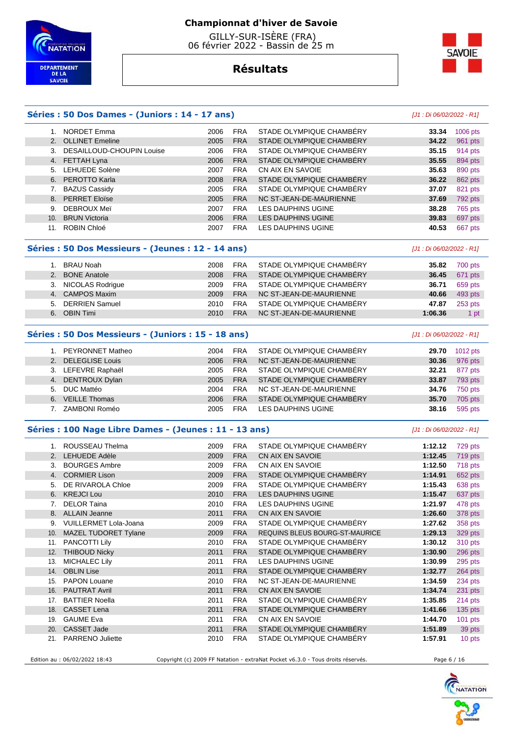

 GILLY-SUR-ISÈRE (FRA) 06 février 2022 - Bassin de 25 m



# **Résultats**

#### **Séries : 50 Dos Dames - (Juniors : 14 - 17 ans)** [J1 : Di 06/02/2022 - R1]

|     | NORDET Emma                  | 2006 | <b>FRA</b> | STADE OLYMPIQUE CHAMBÉRY | 33.34 | 1006 pts |
|-----|------------------------------|------|------------|--------------------------|-------|----------|
|     | 2. OLLINET Emeline           | 2005 | <b>FRA</b> | STADE OLYMPIQUE CHAMBÉRY | 34.22 | 961 pts  |
|     | 3. DESAILLOUD-CHOUPIN Louise | 2006 | <b>FRA</b> | STADE OLYMPIQUE CHAMBERY | 35.15 | 914 pts  |
|     | 4. FETTAH Lyna               | 2006 | <b>FRA</b> | STADE OLYMPIQUE CHAMBERY | 35.55 | 894 pts  |
|     | 5. LEHUEDE Solène            | 2007 | <b>FRA</b> | CN AIX EN SAVOIE         | 35.63 | 890 pts  |
|     | 6. PEROTTO Karla             | 2008 | <b>FRA</b> | STADE OLYMPIQUE CHAMBERY | 36.22 | 862 pts  |
|     | 7. BAZUS Cassidy             | 2005 | <b>FRA</b> | STADE OLYMPIQUE CHAMBÉRY | 37.07 | 821 pts  |
|     | 8. PERRET Eloïse             | 2005 | <b>FRA</b> | NC ST-JEAN-DE-MAURIENNE  | 37.69 | 792 pts  |
| 9.  | DEBROUX Meï                  | 2007 | <b>FRA</b> | LES DAUPHINS UGINE       | 38.28 | 765 pts  |
| 10. | <b>BRUN Victoria</b>         | 2006 | <b>FRA</b> | LES DAUPHINS UGINE       | 39.83 | 697 pts  |
| 11. | <b>ROBIN Chloé</b>           | 2007 | <b>FRA</b> | LES DAUPHINS UGINE       | 40.53 | 667 pts  |
|     |                              |      |            |                          |       |          |

#### **Séries : 50 Dos Messieurs - (Jeunes : 12 - 14 ans)** [J1 : Di 06/02/2022 - R1]

|    | BRAU Noah           | 2008 | FRA        | STADE OLYMPIQUE CHAMBÉRY | 35.82   | 700 pts |
|----|---------------------|------|------------|--------------------------|---------|---------|
|    | 2. BONE Anatole     | 2008 | <b>FRA</b> | STADE OLYMPIQUE CHAMBERY | 36.45   | 671 pts |
|    | 3. NICOLAS Rodrigue | 2009 | <b>FRA</b> | STADE OLYMPIQUE CHAMBÉRY | 36.71   | 659 pts |
|    | 4. CAMPOS Maxim     | 2009 | <b>FRA</b> | NC ST-JEAN-DE-MAURIENNE  | 40.66   | 493 pts |
|    | 5. DERRIEN Samuel   | 2010 | FRA        | STADE OLYMPIQUE CHAMBÉRY | 47.87   | 253 pts |
| 6. | <b>OBIN Timi</b>    | 2010 | <b>FRA</b> | NC ST-JEAN-DE-MAURIENNE  | 1:06.36 | 1 pt    |

#### **Séries : 50 Dos Messieurs - (Juniors : 15 - 18 ans)** [J1 : Di 06/02/2022 - R1]

|  | 1. PEYRONNET Matheo | 2004 | <b>FRA</b> | STADE OLYMPIQUE CHAMBÉRY | 29.70 | 1012 pts |
|--|---------------------|------|------------|--------------------------|-------|----------|
|  | 2. DELEGLISE Louis  | 2006 | <b>FRA</b> | NC ST-JEAN-DE-MAURIENNE  | 30.36 | 976 pts  |
|  | 3. LEFEVRE Raphaël  | 2005 | <b>FRA</b> | STADE OLYMPIQUE CHAMBERY | 32.21 | 877 pts  |
|  | 4. DENTROUX Dylan   | 2005 | <b>FRA</b> | STADE OLYMPIQUE CHAMBÉRY | 33.87 | 793 pts  |
|  | 5. DUC Mattéo       | 2004 | <b>FRA</b> | NC ST-JEAN-DE-MAURIENNE  | 34.76 | 750 pts  |
|  | 6. VEILLE Thomas    | 2006 | <b>FRA</b> | STADE OLYMPIQUE CHAMBÉRY | 35.70 | 705 pts  |
|  | 7. ZAMBONI Roméo    | 2005 | <b>FRA</b> | LES DAUPHINS UGINE       | 38.16 | 595 pts  |
|  |                     |      |            |                          |       |          |

#### **Séries : 100 Nage Libre Dames - (Jeunes : 11 - 13 ans)** [J1 : Di 06/02/2022 - R1]

| 1.  | ROUSSEAU Thelma             | 2009 | <b>FRA</b> | STADE OLYMPIQUE CHAMBÉRY       | 1:12.12 | 729 pts   |
|-----|-----------------------------|------|------------|--------------------------------|---------|-----------|
|     | 2. LEHUEDE Adèle            | 2009 | <b>FRA</b> | CN AIX EN SAVOIE               | 1:12.45 | 719 pts   |
| 3.  | <b>BOURGES Ambre</b>        | 2009 | <b>FRA</b> | CN AIX EN SAVOIE               | 1:12.50 | 718 pts   |
|     | 4. CORMIER Lison            | 2009 | <b>FRA</b> | STADE OLYMPIQUE CHAMBÉRY       | 1:14.91 | 652 pts   |
| 5.  | DE RIVAROLA Chloe           | 2009 | <b>FRA</b> | STADE OLYMPIQUE CHAMBÉRY       | 1:15.43 | 638 pts   |
| 6.  | <b>KREJCI Lou</b>           | 2010 | <b>FRA</b> | LES DAUPHINS UGINE             | 1:15.47 | 637 pts   |
| 7.  | <b>DELOR Taina</b>          | 2010 | <b>FRA</b> | LES DAUPHINS UGINE             | 1:21.97 | 478 pts   |
| 8.  | <b>ALLAIN Jeanne</b>        | 2011 | <b>FRA</b> | CN AIX EN SAVOIE               | 1:26.60 | 378 pts   |
| 9.  | VUILLERMET Lola-Joana       | 2009 | <b>FRA</b> | STADE OLYMPIQUE CHAMBÉRY       | 1:27.62 | 358 pts   |
| 10. | <b>MAZEL TUDORET Tylane</b> | 2009 | <b>FRA</b> | REQUINS BLEUS BOURG-ST-MAURICE | 1:29.13 | 329 pts   |
| 11. | PANCOTTI Lily               | 2010 | <b>FRA</b> | STADE OLYMPIQUE CHAMBÉRY       | 1:30.12 | 310 pts   |
| 12. | <b>THIBOUD Nicky</b>        | 2011 | <b>FRA</b> | STADE OLYMPIQUE CHAMBÉRY       | 1:30.90 | 296 pts   |
| 13. | <b>MICHALEC Lily</b>        | 2011 | <b>FRA</b> | LES DAUPHINS UGINE             | 1:30.99 | 295 pts   |
| 14. | <b>OBLIN Lise</b>           | 2011 | <b>FRA</b> | STADE OLYMPIQUE CHAMBÉRY       | 1:32.77 | 264 pts   |
| 15. | <b>PAPON Louane</b>         | 2010 | <b>FRA</b> | NC ST-JEAN-DE-MAURIENNE        | 1:34.59 | 234 pts   |
| 16. | <b>PAUTRAT Avril</b>        | 2011 | <b>FRA</b> | CN AIX EN SAVOIE               | 1:34.74 | 231 pts   |
| 17. | <b>BATTIER Noella</b>       | 2011 | <b>FRA</b> | STADE OLYMPIQUE CHAMBÉRY       | 1:35.85 | 214 pts   |
| 18. | <b>CASSET Lena</b>          | 2011 | <b>FRA</b> | STADE OLYMPIQUE CHAMBÉRY       | 1:41.66 | $135$ pts |
| 19. | <b>GAUME Eva</b>            | 2011 | <b>FRA</b> | CN AIX EN SAVOIE               | 1:44.70 | $101$ pts |
| 20. | <b>CASSET Jade</b>          | 2011 | <b>FRA</b> | STADE OLYMPIQUE CHAMBERY       | 1:51.89 | 39 pts    |
| 21. | <b>PARRENO Juliette</b>     | 2010 | <b>FRA</b> | STADE OLYMPIQUE CHAMBERY       | 1:57.91 | 10 pts    |
|     |                             |      |            |                                |         |           |

Edition au : 06/02/2022 18:43 Copyright (c) 2009 FF Natation - extraNat Pocket v6.3.0 - Tous droits réservés. Page 6 / 16

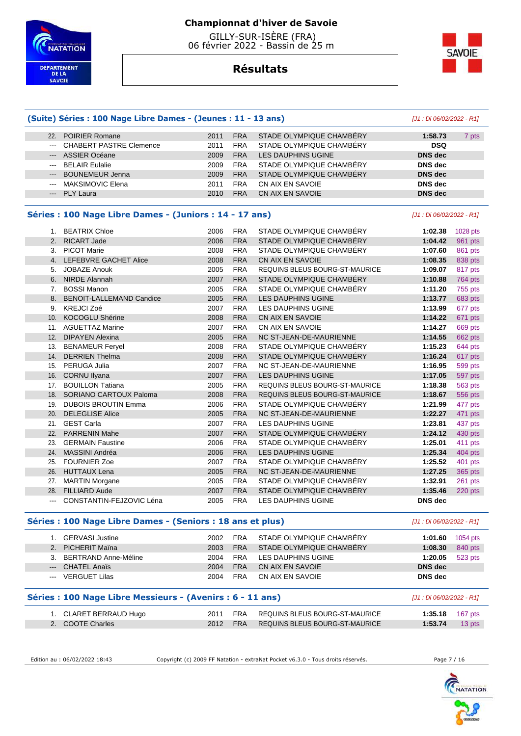



# **Résultats**

|                            | (Suite) Séries : 100 Nage Libre Dames - (Jeunes : 11 - 13 ans) |      |            |                                | [J1 : Di 06/02/2022 - R1] |                |
|----------------------------|----------------------------------------------------------------|------|------------|--------------------------------|---------------------------|----------------|
|                            | 22. POIRIER Romane                                             | 2011 | <b>FRA</b> | STADE OLYMPIQUE CHAMBERY       | 1:58.73                   | 7 pts          |
| $\qquad \qquad - -$        | <b>CHABERT PASTRE Clemence</b>                                 | 2011 | <b>FRA</b> | STADE OLYMPIQUE CHAMBÉRY       | <b>DSQ</b>                |                |
| $\qquad \qquad \cdots$     | <b>ASSIER Océane</b>                                           | 2009 | <b>FRA</b> | <b>LES DAUPHINS UGINE</b>      | <b>DNS</b> dec            |                |
| $\qquad \qquad \text{---}$ | <b>BELAIR Eulalie</b>                                          | 2009 | <b>FRA</b> | STADE OLYMPIQUE CHAMBÉRY       | <b>DNS</b> dec            |                |
| ---                        | <b>BOUNEMEUR Jenna</b>                                         | 2009 | <b>FRA</b> | STADE OLYMPIQUE CHAMBÉRY       | <b>DNS</b> dec            |                |
| $--$                       | MAKSIMOVIC Elena                                               | 2011 | <b>FRA</b> | CN AIX EN SAVOIE               | <b>DNS</b> dec            |                |
| $---$                      | <b>PLY Laura</b>                                               | 2010 | <b>FRA</b> | CN AIX EN SAVOIE               | <b>DNS</b> dec            |                |
|                            | Séries : 100 Nage Libre Dames - (Juniors : 14 - 17 ans)        |      |            |                                | [J1 : Di 06/02/2022 - R1] |                |
|                            | 1. BEATRIX Chloe                                               | 2006 | <b>FRA</b> | STADE OLYMPIQUE CHAMBÉRY       | 1:02.38                   | 1028 pts       |
|                            | 2. RICART Jade                                                 | 2006 | <b>FRA</b> | STADE OLYMPIQUE CHAMBÉRY       | 1:04.42                   | 961 pts        |
|                            | 3. PICOT Marie                                                 | 2008 | <b>FRA</b> | STADE OLYMPIQUE CHAMBÉRY       | 1:07.60                   | 861 pts        |
|                            | 4. LEFEBVRE GACHET Alice                                       | 2008 | <b>FRA</b> | CN AIX EN SAVOIE               | 1:08.35                   | 838 pts        |
| 5.                         | <b>JOBAZE Anouk</b>                                            | 2005 | <b>FRA</b> | REQUINS BLEUS BOURG-ST-MAURICE | 1:09.07                   | 817 pts        |
| 6.                         | <b>NIRDE Alannah</b>                                           | 2007 | <b>FRA</b> | STADE OLYMPIQUE CHAMBÉRY       | 1:10.88                   | 764 pts        |
| 7.                         | <b>BOSSI Manon</b>                                             | 2005 | <b>FRA</b> | STADE OLYMPIQUE CHAMBÉRY       | 1:11.20                   | 755 pts        |
| 8.                         | <b>BENOIT-LALLEMAND Candice</b>                                | 2005 | <b>FRA</b> | <b>LES DAUPHINS UGINE</b>      | 1:13.77                   | 683 pts        |
|                            | 9. KREJCI Zoé                                                  | 2007 | <b>FRA</b> | LES DAUPHINS UGINE             | 1:13.99                   | 677 pts        |
| 10.                        | <b>KOCOGLU Shérine</b>                                         | 2008 | <b>FRA</b> | CN AIX EN SAVOIE               | 1:14.22                   | 671 pts        |
| 11.                        | <b>AGUETTAZ Marine</b>                                         | 2007 | <b>FRA</b> | CN AIX EN SAVOIE               | 1:14.27                   | 669 pts        |
| 12.                        | <b>DIPAYEN Alexina</b>                                         | 2005 | <b>FRA</b> | NC ST-JEAN-DE-MAURIENNE        | 1:14.55                   | 662 pts        |
| 13.                        | <b>BENAMEUR Feryel</b>                                         | 2008 | <b>FRA</b> | STADE OLYMPIQUE CHAMBÉRY       | 1:15.23                   | 644 pts        |
| 14.                        | <b>DERRIEN Thelma</b>                                          | 2008 | <b>FRA</b> | STADE OLYMPIQUE CHAMBÉRY       | 1:16.24                   | 617 pts        |
|                            | 15. PERUGA Julia                                               | 2007 | <b>FRA</b> | NC ST-JEAN-DE-MAURIENNE        | 1:16.95                   | 599 pts        |
|                            | 16. CORNU Ilyana                                               | 2007 | <b>FRA</b> | LES DAUPHINS UGINE             | 1:17.05                   | 597 pts        |
| 17.                        | <b>BOUILLON Tatiana</b>                                        | 2005 | <b>FRA</b> | REQUINS BLEUS BOURG-ST-MAURICE | 1:18.38                   | <b>563 pts</b> |
| 18.                        | SORIANO CARTOUX Paloma                                         | 2008 | <b>FRA</b> | REQUINS BLEUS BOURG-ST-MAURICE | 1:18.67                   | 556 pts        |
| 19.                        | <b>DUBOIS BROUTIN Emma</b>                                     | 2006 | <b>FRA</b> | STADE OLYMPIQUE CHAMBÉRY       | 1:21.99                   | 477 pts        |
| 20.                        | <b>DELEGLISE Alice</b>                                         | 2005 | <b>FRA</b> | NC ST-JEAN-DE-MAURIENNE        | 1:22.27                   | 471 pts        |
|                            | 21. GEST Carla                                                 | 2007 | <b>FRA</b> | LES DAUPHINS UGINE             | 1:23.81                   | 437 pts        |
| 22.                        | <b>PARRENIN Mahe</b>                                           | 2007 | <b>FRA</b> | STADE OLYMPIQUE CHAMBÉRY       | 1:24.12                   | 430 pts        |
| 23.                        | <b>GERMAIN Faustine</b>                                        | 2006 | <b>FRA</b> | STADE OLYMPIQUE CHAMBERY       | 1:25.01                   | 411 pts        |
| 24.                        | MASSINI Andréa                                                 | 2006 | <b>FRA</b> | <b>LES DAUPHINS UGINE</b>      | 1:25.34                   | 404 pts        |
| 25.                        | <b>FOURNIER Zoe</b>                                            | 2007 | <b>FRA</b> | STADE OLYMPIQUE CHAMBÉRY       | 1:25.52                   | 401 pts        |
|                            | 26. HUTTAUX Lena                                               | 2005 | <b>FRA</b> | NC ST-JEAN-DE-MAURIENNE        | 1:27.25                   | 365 pts        |
|                            | 27. MARTIN Morgane                                             | 2005 | <b>FRA</b> | STADE OLYMPIQUE CHAMBÉRY       | 1:32.91                   | 261 pts        |
|                            | 28. FILLIARD Aude                                              | 2007 | <b>FRA</b> | STADE OLYMPIQUE CHAMBÉRY       | 1:35.46                   | $220$ pts      |
|                            | CONSTANTIN-FEJZOVIC Léna                                       | 2005 | <b>FRA</b> | LES DAUPHINS UGINE             | DNS dec                   |                |
|                            | Séries : 100 Nage Libre Dames - (Seniors : 18 ans et plus)     |      |            |                                | [J1 : Di 06/02/2022 - R1] |                |
|                            | 1. GERVASI Justine                                             | 2002 | <b>FRA</b> | STADE OLYMPIQUE CHAMBÉRY       | 1:01.60                   | 1054 pts       |
|                            | 2. PICHERIT Maïna                                              | 2003 | <b>FRA</b> | STADE OLYMPIQUE CHAMBÉRY       | 1:08.30                   | 840 pts        |
|                            | 3. BERTRAND Anne-Méline                                        | 2004 | <b>FRA</b> | LES DAUPHINS UGINE             | 1:20.05                   | 523 pts        |
|                            | --- CHATEL Anaïs                                               | 2004 | <b>FRA</b> | CN AIX EN SAVOIE               | <b>DNS</b> dec            |                |
|                            | --- VERGUET Lilas                                              | 2004 | <b>FRA</b> | CN AIX EN SAVOIE               | <b>DNS</b> dec            |                |
|                            | Séries : 100 Nage Libre Messieurs - (Avenirs : 6 - 11 ans)     |      |            |                                | [J1 : Di 06/02/2022 - R1] |                |
|                            |                                                                |      |            |                                |                           |                |

| 1. CLARET BERRAUD Hugo |  | 2011 FRA REQUINS BLEUS BOURG-ST-MAURICE | <b>1:35.18</b> 167 pts |  |
|------------------------|--|-----------------------------------------|------------------------|--|
| 2. COOTE Charles       |  | 2012 FRA REQUINS BLEUS BOURG-ST-MAURICE | $1:53.74$ 13 pts       |  |

Edition au : 06/02/2022 18:43 Copyright (c) 2009 FF Natation - extraNat Pocket v6.3.0 - Tous droits réservés. Page 7 / 16

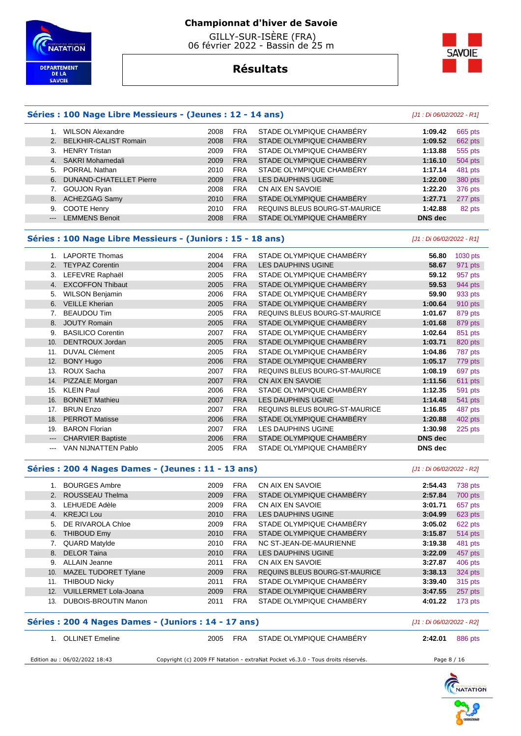



# **Résultats**

#### **Séries : 100 Nage Libre Messieurs - (Jeunes : 12 - 14 ans)** [J1 : Di 06/02/2022 - R1]

|    | <b>WILSON Alexandre</b>    | 2008 | <b>FRA</b> | STADE OLYMPIQUE CHAMBÉRY       | 1:09.42        | 665 pts |
|----|----------------------------|------|------------|--------------------------------|----------------|---------|
|    | 2. BELKHIR-CALIST Romain   | 2008 | <b>FRA</b> | STADE OLYMPIQUE CHAMBÉRY       | 1:09.52        | 662 pts |
| 3. | <b>HENRY Tristan</b>       | 2009 | <b>FRA</b> | STADE OLYMPIQUE CHAMBÉRY       | 1:13.88        | 555 pts |
|    | 4. SAKRI Mohamedali        | 2009 | <b>FRA</b> | STADE OLYMPIQUE CHAMBÉRY       | 1:16.10        | 504 pts |
|    | 5. PORRAL Nathan           | 2010 | <b>FRA</b> | STADE OLYMPIQUE CHAMBERY       | 1:17.14        | 481 pts |
|    | 6. DUNAND-CHATELLET Pierre | 2009 | <b>FRA</b> | LES DAUPHINS UGINE             | 1:22.00        | 380 pts |
|    | 7. GOUJON Ryan             | 2008 | <b>FRA</b> | CN AIX EN SAVOIE               | 1:22.20        | 376 pts |
|    | 8. ACHEZGAG Samy           | 2010 | <b>FRA</b> | STADE OLYMPIQUE CHAMBÉRY       | 1:27.71        | 277 pts |
| 9. | COOTE Henry                | 2010 | <b>FRA</b> | REQUINS BLEUS BOURG-ST-MAURICE | 1:42.88        | 82 pts  |
|    | --- LEMMENS Benoit         | 2008 | <b>FRA</b> | STADE OLYMPIQUE CHAMBÉRY       | <b>DNS</b> dec |         |
|    |                            |      |            |                                |                |         |

#### **Séries : 100 Nage Libre Messieurs - (Juniors : 15 - 18 ans)** [J1 : Di 06/02/2022 - R1]

 1. LAPORTE Thomas 2004 FRA STADE OLYMPIQUE CHAMBÉRY **56.80** 1030 pts 2. TEYPAZ Corentin 2004 FRA LES DAUPHINS UGINE **58.67** 971 pts 3. LEFEVRE Raphaël 2005 FRA STADE OLYMPIQUE CHAMBÉRY **59.12** 957 pts 4. EXCOFFON Thibaut 2005 FRA STADE OLYMPIQUE CHAMBÉRY **59.53** 944 pts 5. WILSON Benjamin 2006 FRA STADE OLYMPIQUE CHAMBÉRY **59.90** 933 pts 6. VEILLE Kherian 2005 FRA STADE OLYMPIQUE CHAMBÉRY **1:00.64** 910 pts 7. BEAUDOU Tim 2005 FRA REQUINS BLEUS BOURG-ST-MAURICE **1:01.67** 879 pts 8. JOUTY Romain 2005 FRA STADE OLYMPIQUE CHAMBÉRY **1:01.68** 879 pts 9. BASILICO Corentin 2007 FRA STADE OLYMPIQUE CHAMBÉRY **1:02.64** 851 pts 10. DENTROUX Jordan 2005 FRA STADE OLYMPIQUE CHAMBÉRY **1:03.71** 820 pts 11. DUVAL Clément 2005 FRA STADE OLYMPIQUE CHAMBÉRY **1:04.86** 787 pts 12. BONY Hugo 2006 FRA STADE OLYMPIQUE CHAMBÉRY **1:05.17** 779 pts 13. ROUX Sacha 2007 FRA REQUINS BLEUS BOURG-ST-MAURICE **1:08.19** 697 pts 14. PIZZALE Morgan 2007 FRA CN AIX EN SAVOIE **1:11.56** 611 pts 15. KLEIN Paul 2006 FRA STADE OLYMPIQUE CHAMBÉRY **1:12.35** 591 pts 16. BONNET Mathieu 2007 FRA LES DAUPHINS UGINE **1:14.48** 541 pts 17. BRUN Enzo 2007 FRA REQUINS BLEUS BOURG-ST-MAURICE **1:16.85** 487 pts 18. PERROT Matisse 2006 FRA STADE OLYMPIQUE CHAMBÉRY **1:20.88** 402 pts 19. BARON Florian 2007 FRA LES DAUPHINS UGINE **1:30.98** 225 pts --- CHARVIER Baptiste 2006 FRA STADE OLYMPIQUE CHAMBÉRY **DNS dec**  --- VAN NIJNATTEN Pablo 2005 FRA STADE OLYMPIQUE CHAMBÉRY **DNS dec** 

#### **Séries : 200 4 Nages Dames - (Jeunes : 11 - 13 ans)** [J1 : Di 06/02/2022 - R2]

|     | <b>BOURGES Ambre</b>         | 2009 | <b>FRA</b> | CN AIX EN SAVOIE                      | 2:54.43 | 738 pts |
|-----|------------------------------|------|------------|---------------------------------------|---------|---------|
| 2.  | ROUSSEAU Thelma              | 2009 | <b>FRA</b> | STADE OLYMPIQUE CHAMBERY              | 2:57.84 | 700 pts |
| 3.  | LEHUEDE Adèle                | 2009 | <b>FRA</b> | CN AIX EN SAVOIE                      | 3:01.71 | 657 pts |
|     | 4. KREJCI Lou                | 2010 | <b>FRA</b> | LES DAUPHINS UGINE                    | 3:04.99 | 623 pts |
|     | 5. DE RIVAROLA Chloe         | 2009 | <b>FRA</b> | STADE OLYMPIQUE CHAMBERY              | 3:05.02 | 622 pts |
| 6.  | <b>THIBOUD Emy</b>           | 2010 | <b>FRA</b> | STADE OLYMPIQUE CHAMBERY              | 3:15.87 | 514 pts |
| 7.  | QUARD Matylde                | 2010 | <b>FRA</b> | NC ST-JEAN-DE-MAURIENNE               | 3:19.38 | 481 pts |
|     | 8. DELOR Taina               | 2010 | <b>FRA</b> | <b>LES DAUPHINS UGINE</b>             | 3:22.09 | 457 pts |
| 9.  | <b>ALLAIN Jeanne</b>         | 2011 | <b>FRA</b> | CN AIX EN SAVOIE                      | 3:27.87 | 406 pts |
| 10. | <b>MAZEL TUDORET Tylane</b>  | 2009 | <b>FRA</b> | <b>REQUINS BLEUS BOURG-ST-MAURICE</b> | 3:38.13 | 324 pts |
| 11. | <b>THIBOUD Nicky</b>         | 2011 | <b>FRA</b> | STADE OLYMPIQUE CHAMBERY              | 3:39.40 | 315 pts |
| 12. | <b>VUILLERMET Lola-Joana</b> | 2009 | <b>FRA</b> | STADE OLYMPIQUE CHAMBERY              | 3:47.55 | 257 pts |
| 13. | <b>DUBOIS-BROUTIN Manon</b>  | 2011 | <b>FRA</b> | STADE OLYMPIQUE CHAMBERY              | 4:01.22 | 173 pts |

#### **Séries : 200 4 Nages Dames - (Juniors : 14 - 17 ans)** [J1 : Di 06/02/2022 - R2]

| 1. OLLINET Emeline            | 2005 | FRA | STADE OLYMPIQUE CHAMBERY                                                        | 2:42.01     | 886 pts |
|-------------------------------|------|-----|---------------------------------------------------------------------------------|-------------|---------|
| Edition au : 06/02/2022 18:43 |      |     | Copyright (c) 2009 FF Natation - extraNat Pocket v6.3.0 - Tous droits réservés. | Page 8 / 16 |         |

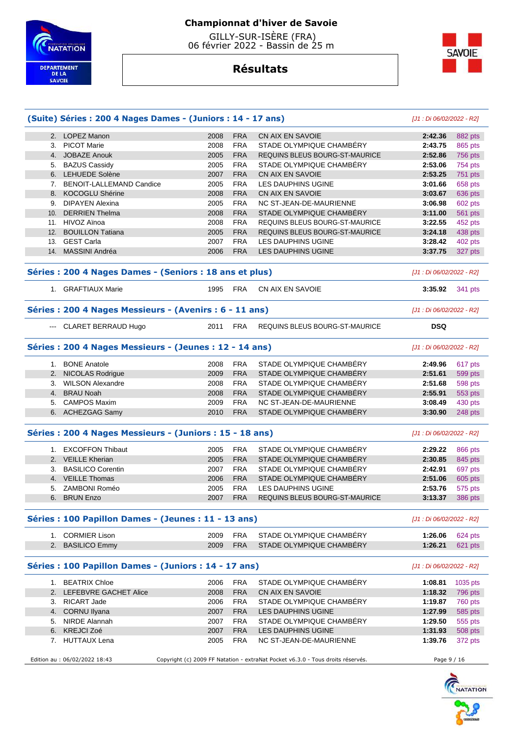

 GILLY-SUR-ISÈRE (FRA) 06 février 2022 - Bassin de 25 m



# **Résultats**

|                 | (Suite) Séries : 200 4 Nages Dames - (Juniors : 14 - 17 ans) |      |            |                                       | [J1 : Di 06/02/2022 - R2] |                     |
|-----------------|--------------------------------------------------------------|------|------------|---------------------------------------|---------------------------|---------------------|
|                 | 2. LOPEZ Manon                                               | 2008 | <b>FRA</b> | CN AIX EN SAVOIE                      | 2:42.36                   | 882 pts             |
|                 | 3. PICOT Marie                                               | 2008 | <b>FRA</b> | STADE OLYMPIQUE CHAMBÉRY              | 2:43.75                   | 865 pts             |
|                 | 4. JOBAZE Anouk                                              | 2005 | <b>FRA</b> | REQUINS BLEUS BOURG-ST-MAURICE        | 2:52.86                   | <b>756 pts</b>      |
|                 | 5. BAZUS Cassidy                                             | 2005 | <b>FRA</b> | STADE OLYMPIQUE CHAMBÉRY              | 2:53.06                   | 754 pts             |
|                 | 6. LEHUEDE Solène                                            | 2007 | <b>FRA</b> | CN AIX EN SAVOIE                      | 2:53.25                   | 751 pts             |
|                 | 7. BENOIT-LALLEMAND Candice                                  | 2005 | <b>FRA</b> | LES DAUPHINS UGINE                    | 3:01.66                   | 658 pts             |
|                 | 8. KOCOGLU Shérine                                           | 2008 | <b>FRA</b> | CN AIX EN SAVOIE                      | 3:03.67                   | 636 pts             |
|                 | 9. DIPAYEN Alexina                                           | 2005 | <b>FRA</b> | NC ST-JEAN-DE-MAURIENNE               | 3:06.98                   | 602 pts             |
| 10 <sub>1</sub> | <b>DERRIEN Thelma</b>                                        | 2008 | <b>FRA</b> | STADE OLYMPIQUE CHAMBERY              | 3:11.00                   | <b>561 pts</b>      |
|                 | 11. HIVOZ Aïnoa                                              | 2008 | <b>FRA</b> | <b>REQUINS BLEUS BOURG-ST-MAURICE</b> | 3:22.55                   | 452 pts             |
| 12.             | <b>BOUILLON Tatiana</b>                                      | 2005 | <b>FRA</b> | REQUINS BLEUS BOURG-ST-MAURICE        | 3:24.18                   | 438 pts             |
|                 | 13. GEST Carla                                               | 2007 | <b>FRA</b> | LES DAUPHINS UGINE                    | 3:28.42                   | 402 pts             |
| 14.             | MASSINI Andréa                                               | 2006 | <b>FRA</b> | <b>LES DAUPHINS UGINE</b>             | 3:37.75                   | 327 pts             |
|                 | Séries : 200 4 Nages Dames - (Seniors : 18 ans et plus)      |      |            |                                       | [J1 : Di 06/02/2022 - R2] |                     |
|                 | 1. GRAFTIAUX Marie                                           | 1995 | FRA        | CN AIX EN SAVOIE                      | 3:35.92                   | 341 pts             |
|                 | Séries : 200 4 Nages Messieurs - (Avenirs : 6 - 11 ans)      |      |            |                                       | [J1 : Di 06/02/2022 - R2] |                     |
|                 | --- CLARET BERRAUD Hugo                                      | 2011 | <b>FRA</b> | REQUINS BLEUS BOURG-ST-MAURICE        | <b>DSQ</b>                |                     |
|                 | Séries : 200 4 Nages Messieurs - (Jeunes : 12 - 14 ans)      |      |            |                                       | [J1 : Di 06/02/2022 - R2] |                     |
| 1.              | <b>BONE Anatole</b>                                          | 2008 | <b>FRA</b> | STADE OLYMPIQUE CHAMBÉRY              | 2:49.96                   | 617 pts             |
|                 | 2. NICOLAS Rodrigue                                          | 2009 | <b>FRA</b> | STADE OLYMPIQUE CHAMBERY              | 2:51.61                   | 599 pts             |
|                 | 3. WILSON Alexandre                                          | 2008 | <b>FRA</b> | STADE OLYMPIQUE CHAMBÉRY              | 2:51.68                   | 598 pts             |
|                 | 4. BRAU Noah                                                 | 2008 | <b>FRA</b> | STADE OLYMPIQUE CHAMBÉRY              | 2:55.91                   | 553 pts             |
| 5.              | <b>CAMPOS Maxim</b>                                          | 2009 | <b>FRA</b> | NC ST-JEAN-DE-MAURIENNE               | 3:08.49                   | 430 pts             |
|                 | 6. ACHEZGAG Samy                                             | 2010 | <b>FRA</b> | STADE OLYMPIQUE CHAMBÉRY              | 3:30.90                   | 248 pts             |
|                 | Séries: 200 4 Nages Messieurs - (Juniors: 15 - 18 ans)       |      |            |                                       | [J1 : Di 06/02/2022 - R2] |                     |
|                 | 1. EXCOFFON Thibaut                                          | 2005 | <b>FRA</b> | STADE OLYMPIQUE CHAMBÉRY              | 2:29.22                   | 866 pts             |
|                 | 2. VEILLE Kherian                                            | 2005 | <b>FRA</b> | STADE OLYMPIQUE CHAMBÉRY              | 2:30.85                   | 845 pts             |
| 3.              | <b>BASILICO Corentin</b>                                     | 2007 | <b>FRA</b> | STADE OLYMPIQUE CHAMBÉRY              | 2:42.91                   | 697 pts             |
|                 | 4. VEILLE Thomas                                             | 2006 | <b>FRA</b> | STADE OLYMPIQUE CHAMBERY              | 2:51.06                   | 605 pts             |
| 5.              | ZAMBONI Roméo                                                | 2005 | <b>FRA</b> | LES DAUPHINS UGINE                    | 2:53.76                   | 575 pts             |
|                 | 6. BRUN Enzo                                                 | 2007 | <b>FRA</b> | REQUINS BLEUS BOURG-ST-MAURICE        | 3:13.37                   | <b>386 pts</b>      |
|                 | Séries : 100 Papillon Dames - (Jeunes : 11 - 13 ans)         |      |            |                                       | [J1 : Di 06/02/2022 - R2] |                     |
|                 | 1. CORMIER Lison                                             | 2009 | <b>FRA</b> | STADE OLYMPIQUE CHAMBÉRY              | 1:26.06                   | 624 pts             |
|                 |                                                              | 2009 | <b>FRA</b> | STADE OLYMPIQUE CHAMBÉRY              | 1:26.21                   | 621 pts             |
|                 | 2. BASILICO Emmy                                             |      |            |                                       |                           |                     |
|                 | Séries : 100 Papillon Dames - (Juniors : 14 - 17 ans)        |      |            |                                       | [J1 : Di 06/02/2022 - R2] |                     |
|                 | 1. BEATRIX Chloe                                             | 2006 | <b>FRA</b> | STADE OLYMPIQUE CHAMBÉRY              | 1:08.81                   |                     |
|                 | 2. LEFEBVRE GACHET Alice                                     | 2008 | <b>FRA</b> | CN AIX EN SAVOIE                      | 1:18.32                   | 1035 pts<br>796 pts |
|                 | 3. RICART Jade                                               | 2006 | <b>FRA</b> | STADE OLYMPIQUE CHAMBÉRY              | 1:19.87                   | 760 pts             |
|                 | 4. CORNU Ilyana                                              | 2007 | <b>FRA</b> | LES DAUPHINS UGINE                    | 1:27.99                   | 585 pts             |
|                 | 5. NIRDE Alannah                                             | 2007 | <b>FRA</b> | STADE OLYMPIQUE CHAMBÉRY              | 1:29.50                   | 555 pts             |
|                 | 6. KREJCI Zoé                                                | 2007 | <b>FRA</b> | LES DAUPHINS UGINE                    | 1:31.93                   |                     |
|                 | 7. HUTTAUX Lena                                              | 2005 | <b>FRA</b> | NC ST-JEAN-DE-MAURIENNE               | 1:39.76                   | 508 pts<br>372 pts  |

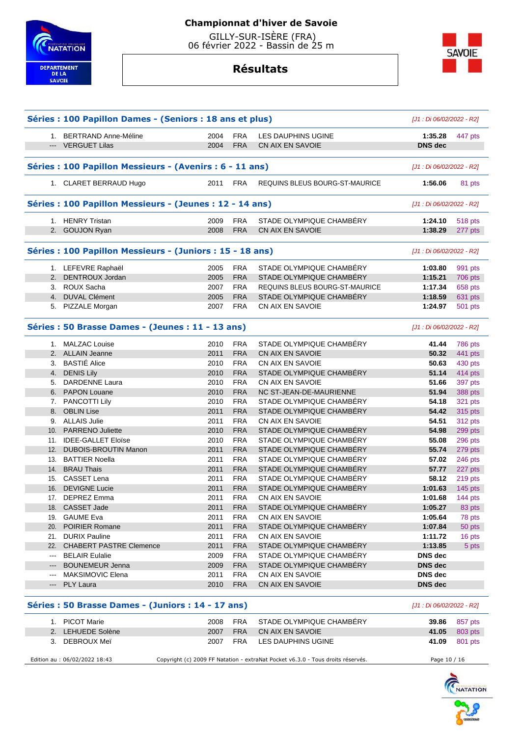

# **Résultats**



|                            | Séries : 100 Papillon Dames - (Seniors : 18 ans et plus)  |                           |            |                                | [J1 : Di 06/02/2022 - R2] |           |
|----------------------------|-----------------------------------------------------------|---------------------------|------------|--------------------------------|---------------------------|-----------|
|                            | 1. BERTRAND Anne-Méline                                   | 2004                      | <b>FRA</b> | LES DAUPHINS UGINE             | 1:35.28                   | 447 pts   |
|                            | --- VERGUET Lilas                                         | 2004                      | <b>FRA</b> | CN AIX EN SAVOIE               | <b>DNS dec</b>            |           |
|                            |                                                           |                           |            |                                |                           |           |
|                            | Séries : 100 Papillon Messieurs - (Avenirs : 6 - 11 ans)  |                           |            |                                | [J1 : Di 06/02/2022 - R2] |           |
|                            | 1. CLARET BERRAUD Hugo                                    | 2011                      | <b>FRA</b> | REQUINS BLEUS BOURG-ST-MAURICE | 1:56.06                   | 81 pts    |
|                            | Séries : 100 Papillon Messieurs - (Jeunes : 12 - 14 ans)  |                           |            |                                | [J1 : Di 06/02/2022 - R2] |           |
|                            | 1. HENRY Tristan                                          | 2009                      | <b>FRA</b> | STADE OLYMPIQUE CHAMBERY       | 1:24.10                   | 518 pts   |
| 2.                         | <b>GOUJON Ryan</b>                                        | 2008                      | <b>FRA</b> | CN AIX EN SAVOIE               | 1:38.29                   | 277 pts   |
|                            |                                                           |                           |            |                                |                           |           |
|                            | Séries : 100 Papillon Messieurs - (Juniors : 15 - 18 ans) | [J1 : Di 06/02/2022 - R2] |            |                                |                           |           |
|                            | 1. LEFEVRE Raphaël                                        | 2005                      | <b>FRA</b> | STADE OLYMPIQUE CHAMBERY       | 1:03.80                   | 991 pts   |
| 2.                         | DENTROUX Jordan                                           | 2005                      | <b>FRA</b> | STADE OLYMPIQUE CHAMBÉRY       | 1:15.21                   | 706 pts   |
|                            | 3. ROUX Sacha                                             | 2007                      | <b>FRA</b> | REQUINS BLEUS BOURG-ST-MAURICE | 1:17.34                   | 658 pts   |
|                            | 4. DUVAL Clément                                          | 2005                      | <b>FRA</b> | STADE OLYMPIQUE CHAMBÉRY       | 1:18.59                   | 631 pts   |
|                            | 5. PIZZALE Morgan                                         | 2007                      | <b>FRA</b> | CN AIX EN SAVOIE               | 1:24.97                   | 501 pts   |
|                            | Séries : 50 Brasse Dames - (Jeunes : 11 - 13 ans)         |                           |            |                                | [J1 : Di 06/02/2022 - R2] |           |
|                            | 1. MALZAC Louise                                          | 2010                      | <b>FRA</b> | STADE OLYMPIQUE CHAMBÉRY       | 41.44                     | 786 pts   |
|                            | 2. ALLAIN Jeanne                                          | 2011                      | <b>FRA</b> | CN AIX EN SAVOIE               | 50.32                     | 441 pts   |
|                            | 3. BASTIÉ Alice                                           | 2010                      | <b>FRA</b> | CN AIX EN SAVOIE               | 50.63                     | 430 pts   |
| 4.                         | <b>DENIS Lily</b>                                         | 2010                      | <b>FRA</b> | STADE OLYMPIQUE CHAMBÉRY       | 51.14                     | 414 pts   |
| 5.                         | <b>DARDENNE Laura</b>                                     | 2010                      | <b>FRA</b> | CN AIX EN SAVOIE               | 51.66                     | 397 pts   |
|                            | 6. PAPON Louane                                           | 2010                      | <b>FRA</b> | NC ST-JEAN-DE-MAURIENNE        | 51.94                     | 388 pts   |
|                            | 7. PANCOTTI Lily                                          | 2010                      | <b>FRA</b> | STADE OLYMPIQUE CHAMBÉRY       | 54.18                     | 321 pts   |
| 8.                         | <b>OBLIN Lise</b>                                         | 2011                      | <b>FRA</b> | STADE OLYMPIQUE CHAMBÉRY       | 54.42                     | 315 pts   |
|                            | 9. ALLAIS Julie                                           | 2011                      | <b>FRA</b> | CN AIX EN SAVOIE               | 54.51                     | 312 pts   |
| 10.                        | <b>PARRENO Juliette</b>                                   | 2010                      | <b>FRA</b> | STADE OLYMPIQUE CHAMBÉRY       | 54.98                     | 299 pts   |
|                            | 11. IDEE-GALLET Eloïse                                    | 2010                      | <b>FRA</b> | STADE OLYMPIQUE CHAMBÉRY       | 55.08                     | 296 pts   |
| 12.                        | <b>DUBOIS-BROUTIN Manon</b>                               | 2011                      | <b>FRA</b> | STADE OLYMPIQUE CHAMBÉRY       | 55.74                     | 279 pts   |
|                            | 13. BATTIER Noella                                        | 2011                      | <b>FRA</b> | STADE OLYMPIQUE CHAMBÉRY       | 57.02                     | 246 pts   |
|                            | 14. BRAU Thais                                            | 2011                      | <b>FRA</b> | STADE OLYMPIQUE CHAMBÉRY       | 57.77                     | 227 pts   |
|                            | 15. CASSET Lena                                           | 2011                      | <b>FRA</b> | STADE OLYMPIQUE CHAMBÉRY       | 58.12                     | 219 pts   |
| 16.                        | <b>DEVIGNE Lucie</b>                                      | 2011                      | <b>FRA</b> | STADE OLYMPIQUE CHAMBÉRY       | 1:01.63                   | $145$ pts |
|                            | 17. DEPREZ Emma                                           | 2011                      | <b>FRA</b> | CN AIX EN SAVOIE               | 1:01.68                   | 144 $pts$ |
| 18.                        | CASSET Jade                                               | 2011                      | <b>FRA</b> | STADE OLYMPIQUE CHAMBÉRY       | 1:05.27                   | 83 pts    |
| 19.                        | <b>GAUME Eva</b>                                          | 2011                      | <b>FRA</b> | CN AIX EN SAVOIE               | 1:05.64                   | 78 pts    |
|                            | 20. POIRIER Romane                                        | 2011                      | <b>FRA</b> | STADE OLYMPIQUE CHAMBERY       | 1:07.84                   | 50 pts    |
|                            | 21. DURIX Pauline                                         | 2011                      | <b>FRA</b> | CN AIX EN SAVOIE               | 1:11.72                   | 16 pts    |
| 22.                        | <b>CHABERT PASTRE Clemence</b>                            | 2011                      | <b>FRA</b> | STADE OLYMPIQUE CHAMBÉRY       | 1:13.85                   | 5 pts     |
| ---                        | <b>BELAIR Eulalie</b>                                     | 2009                      | FRA        | STADE OLYMPIQUE CHAMBÉRY       | DNS dec                   |           |
| ---                        | <b>BOUNEMEUR Jenna</b>                                    | 2009                      | <b>FRA</b> | STADE OLYMPIQUE CHAMBÉRY       | DNS dec                   |           |
| $\qquad \qquad \text{---}$ | <b>MAKSIMOVIC Elena</b>                                   | 2011                      | <b>FRA</b> | CN AIX EN SAVOIE               | DNS dec                   |           |
| $\qquad \qquad - -$        | <b>PLY Laura</b>                                          | 2010                      | <b>FRA</b> | CN AIX EN SAVOIE               | <b>DNS</b> dec            |           |

#### **Séries : 50 Brasse Dames - (Juniors : 14 - 17 ans)** [J1 : Di 06/02/2022 - R2]

| 1. PICOT Marie<br>2. LEHUEDE Solène<br>3. DEBROUX Meï | 2008<br>2007<br>2007 | FRA<br>FRA<br>FRA | STADE OLYMPIQUE CHAMBÉRY<br>CN AIX EN SAVOIE<br>LES DAUPHINS UGINE              | 39.86<br>41.05 | 857 pts<br>803 pts<br>41.09 801 pts |
|-------------------------------------------------------|----------------------|-------------------|---------------------------------------------------------------------------------|----------------|-------------------------------------|
| Edition au : 06/02/2022 18:43                         |                      |                   | Copyright (c) 2009 FF Natation - extraNat Pocket v6.3.0 - Tous droits réservés. | Page 10 / 16   |                                     |

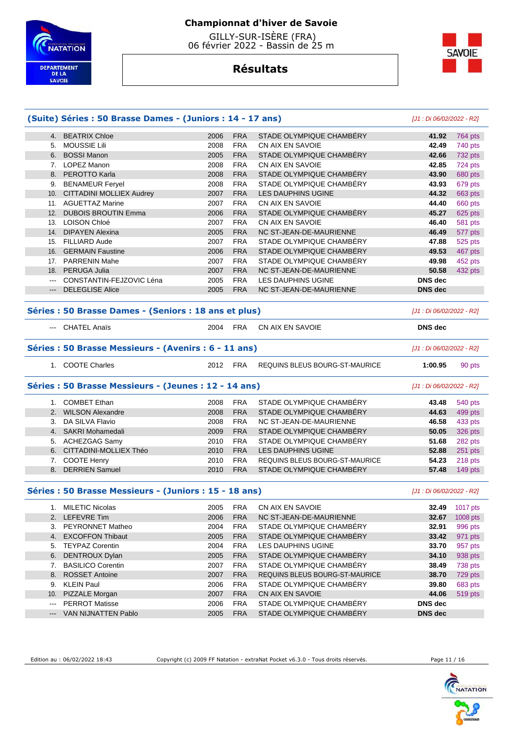

 GILLY-SUR-ISÈRE (FRA) 06 février 2022 - Bassin de 25 m



# **Résultats**

|            |                                                                           | (Suite) Séries : 50 Brasse Dames - (Juniors : 14 - 17 ans) |                          |                                                            | [J1 : Di 06/02/2022 - R2]            |                                                                                      |
|------------|---------------------------------------------------------------------------|------------------------------------------------------------|--------------------------|------------------------------------------------------------|--------------------------------------|--------------------------------------------------------------------------------------|
|            | 4. BEATRIX Chloe                                                          | 2006                                                       | <b>FRA</b>               | STADE OLYMPIQUE CHAMBERY                                   | 41.92                                | 764 pts                                                                              |
|            | 5. MOUSSIE Lili                                                           | 2008                                                       | <b>FRA</b>               | CN AIX EN SAVOIE                                           | 42.49                                | 740 pts                                                                              |
|            | 6. BOSSI Manon                                                            | 2005                                                       | <b>FRA</b>               | STADE OLYMPIQUE CHAMBERY                                   | 42.66                                | 732 pts                                                                              |
|            | 7. LOPEZ Manon                                                            | 2008                                                       | <b>FRA</b>               | CN AIX EN SAVOIE                                           | 42.85                                | 724 pts                                                                              |
|            | 8. PEROTTO Karla                                                          | 2008                                                       | <b>FRA</b>               | STADE OLYMPIQUE CHAMBÉRY                                   | 43.90                                | 680 pts                                                                              |
|            | 9. BENAMEUR Feryel                                                        | 2008                                                       | <b>FRA</b>               | STADE OLYMPIQUE CHAMBÉRY                                   | 43.93                                | 679 pts                                                                              |
|            | 10. CITTADINI MOLLIEX Audrey                                              | 2007                                                       | <b>FRA</b>               | LES DAUPHINS UGINE                                         | 44.32                                | 663 pts                                                                              |
|            | 11. AGUETTAZ Marine                                                       | 2007                                                       | <b>FRA</b>               | CN AIX EN SAVOIE                                           | 44.40                                | 660 pts                                                                              |
| 12.        | <b>DUBOIS BROUTIN Emma</b>                                                | 2006                                                       | <b>FRA</b>               | STADE OLYMPIQUE CHAMBÉRY                                   | 45.27                                | 625 pts                                                                              |
| 13.        | <b>LOISON Chloé</b>                                                       | 2007                                                       | <b>FRA</b>               | CN AIX EN SAVOIE                                           | 46.40                                | 581 pts                                                                              |
| 14.        | <b>DIPAYEN Alexina</b>                                                    | 2005                                                       | <b>FRA</b>               | NC ST-JEAN-DE-MAURIENNE                                    | 46.49                                | 577 pts                                                                              |
|            | 15. FILLIARD Aude                                                         | 2007                                                       | <b>FRA</b>               | STADE OLYMPIQUE CHAMBÉRY                                   | 47.88                                | 525 pts                                                                              |
|            | 16. GERMAIN Faustine                                                      | 2006                                                       | <b>FRA</b>               | STADE OLYMPIQUE CHAMBÉRY                                   | 49.53                                | 467 pts                                                                              |
|            | 17. PARRENIN Mahe                                                         | 2007                                                       | <b>FRA</b>               | STADE OLYMPIQUE CHAMBERY                                   | 49.98                                | 452 pts                                                                              |
|            | 18. PERUGA Julia                                                          | 2007                                                       | <b>FRA</b>               | NC ST-JEAN-DE-MAURIENNE                                    | 50.58                                | 432 pts                                                                              |
| $---$      | CONSTANTIN-FEJZOVIC Léna                                                  | 2005                                                       | <b>FRA</b>               | <b>LES DAUPHINS UGINE</b>                                  | <b>DNS</b> dec                       |                                                                                      |
| ---        | <b>DELEGLISE Alice</b>                                                    | 2005                                                       | <b>FRA</b>               | NC ST-JEAN-DE-MAURIENNE                                    | <b>DNS</b> dec                       |                                                                                      |
|            | Séries : 50 Brasse Dames - (Seniors : 18 ans et plus)                     |                                                            |                          |                                                            | [J1 : Di 06/02/2022 - R2]            |                                                                                      |
|            | --- CHATEL Anaïs                                                          | 2004                                                       | <b>FRA</b>               | CN AIX EN SAVOIE                                           | <b>DNS</b> dec                       |                                                                                      |
|            | Séries : 50 Brasse Messieurs - (Avenirs : 6 - 11 ans)<br>1. COOTE Charles | 2012                                                       | FRA                      | REQUINS BLEUS BOURG-ST-MAURICE                             | [J1 : Di 06/02/2022 - R2]<br>1:00.95 | 90 pts                                                                               |
|            |                                                                           |                                                            |                          |                                                            |                                      |                                                                                      |
|            | Séries : 50 Brasse Messieurs - (Jeunes : 12 - 14 ans)                     |                                                            |                          |                                                            | [J1 : Di 06/02/2022 - R2]            |                                                                                      |
|            | 1. COMBET Ethan                                                           |                                                            |                          |                                                            |                                      |                                                                                      |
|            |                                                                           | 2008                                                       | <b>FRA</b>               | STADE OLYMPIQUE CHAMBÉRY                                   | 43.48                                |                                                                                      |
|            | 2. WILSON Alexandre                                                       | 2008                                                       | <b>FRA</b>               | STADE OLYMPIQUE CHAMBÉRY                                   | 44.63                                |                                                                                      |
| 3.         | DA SILVA Flavio                                                           | 2008                                                       | <b>FRA</b>               | NC ST-JEAN-DE-MAURIENNE                                    | 46.58                                |                                                                                      |
|            | 4. SAKRI Mohamedali                                                       | 2009                                                       | <b>FRA</b>               | STADE OLYMPIQUE CHAMBÉRY                                   | 50.05                                |                                                                                      |
|            | 5. ACHEZGAG Samy                                                          | 2010                                                       | <b>FRA</b>               | STADE OLYMPIQUE CHAMBÉRY                                   | 51.68                                |                                                                                      |
|            | 6. CITTADINI-MOLLIEX Théo                                                 | 2010                                                       | <b>FRA</b>               | LES DAUPHINS UGINE                                         | 52.88                                |                                                                                      |
|            | 7. COOTE Henry<br>8. DERRIEN Samuel                                       | 2010<br>2010                                               | <b>FRA</b><br><b>FRA</b> | REQUINS BLEUS BOURG-ST-MAURICE<br>STADE OLYMPIQUE CHAMBÉRY | 54.23<br>57.48                       |                                                                                      |
|            | Séries : 50 Brasse Messieurs - (Juniors : 15 - 18 ans)                    |                                                            |                          |                                                            | [J1 : Di 06/02/2022 - R2]            | 540 pts<br>499 pts<br>433 pts<br>326 pts<br>282 pts<br>251 pts<br>218 pts<br>149 pts |
|            | 1. MILETIC Nicolas                                                        | 2005                                                       | <b>FRA</b>               | CN AIX EN SAVOIE                                           | 32.49                                | 1017 pts                                                                             |
|            | 2. LEFEVRE Tim                                                            |                                                            |                          | NC ST-JEAN-DE-MAURIENNE                                    |                                      |                                                                                      |
|            |                                                                           | 2006                                                       | <b>FRA</b>               |                                                            | 32.67                                | 1008 pts                                                                             |
| 3.         | PEYRONNET Matheo<br>4. EXCOFFON Thibaut                                   | 2004<br>2005                                               | FRA<br><b>FRA</b>        | STADE OLYMPIQUE CHAMBERY<br>STADE OLYMPIQUE CHAMBERY       | 32.91<br>33.42                       | 996 pts                                                                              |
|            |                                                                           |                                                            |                          |                                                            |                                      | 971 pts                                                                              |
| 5.         | <b>TEYPAZ Corentin</b>                                                    | 2004                                                       | <b>FRA</b>               | LES DAUPHINS UGINE                                         | 33.70                                |                                                                                      |
|            | 6. DENTROUX Dylan                                                         | 2005                                                       | <b>FRA</b>               | STADE OLYMPIQUE CHAMBÉRY                                   | 34.10                                |                                                                                      |
|            | 7. BASILICO Corentin                                                      | 2007                                                       | <b>FRA</b>               | STADE OLYMPIQUE CHAMBÉRY                                   | 38.49                                |                                                                                      |
|            | 8. ROSSET Antoine                                                         | 2007                                                       | <b>FRA</b>               | REQUINS BLEUS BOURG-ST-MAURICE                             | 38.70                                |                                                                                      |
| 9.         | <b>KLEIN Paul</b>                                                         | 2006                                                       | <b>FRA</b>               | STADE OLYMPIQUE CHAMBERY                                   | 39.80                                |                                                                                      |
| 10.<br>--- | PIZZALE Morgan<br><b>PERROT Matisse</b>                                   | 2007<br>2006                                               | <b>FRA</b><br><b>FRA</b> | CN AIX EN SAVOIE<br>STADE OLYMPIQUE CHAMBÉRY               | 44.06<br><b>DNS dec</b>              | 957 pts<br>938 pts<br>738 pts<br>729 pts<br>683 pts<br>519 pts                       |

Edition au : 06/02/2022 18:43 Copyright (c) 2009 FF Natation - extraNat Pocket v6.3.0 - Tous droits réservés. Page 11 / 16

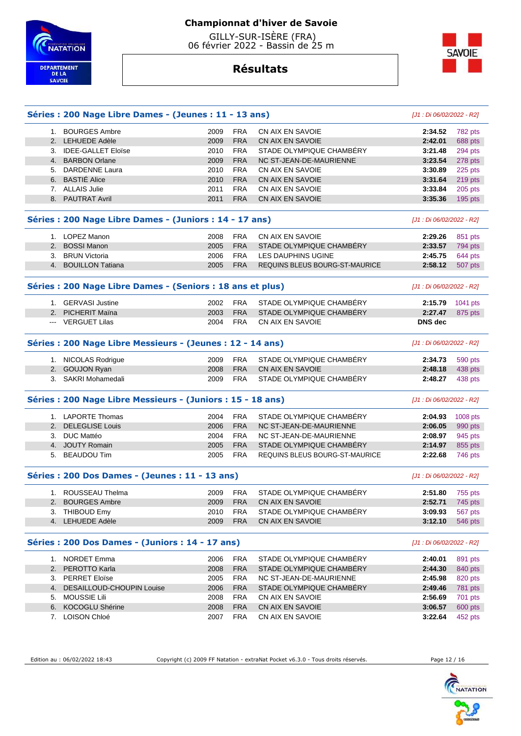

**Résultats**

# **SAVOIE**

|                | Séries : 200 Nage Libre Dames - (Jeunes : 11 - 13 ans)      |      |            |                                | [J1 : Di 06/02/2022 - R2] |          |
|----------------|-------------------------------------------------------------|------|------------|--------------------------------|---------------------------|----------|
| 1.             | <b>BOURGES Ambre</b>                                        | 2009 | <b>FRA</b> | CN AIX EN SAVOIE               | 2:34.52                   | 782 pts  |
| 2.             | <b>LEHUEDE Adèle</b>                                        | 2009 | <b>FRA</b> | <b>CN AIX EN SAVOIE</b>        | 2:42.01                   | 688 pts  |
| 3.             | <b>IDEE-GALLET Eloïse</b>                                   | 2010 | <b>FRA</b> | STADE OLYMPIQUE CHAMBÉRY       | 3:21.48                   | 294 pts  |
|                | 4. BARBON Orlane                                            | 2009 | <b>FRA</b> | NC ST-JEAN-DE-MAURIENNE        | 3:23.54                   | 278 pts  |
|                | 5. DARDENNE Laura                                           | 2010 | <b>FRA</b> | CN AIX EN SAVOIE               | 3:30.89                   | 225 pts  |
|                | 6. BASTIE Alice                                             | 2010 | <b>FRA</b> | CN AIX EN SAVOIE               | 3:31.64                   | 219 pts  |
|                | 7. ALLAIS Julie                                             | 2011 | <b>FRA</b> | CN AIX EN SAVOIE               | 3:33.84                   | 205 pts  |
|                | 8. PAUTRAT Avril                                            | 2011 | <b>FRA</b> | <b>CN AIX EN SAVOIE</b>        | 3:35.36                   | 195 pts  |
|                | Séries : 200 Nage Libre Dames - (Juniors : 14 - 17 ans)     |      |            |                                | [J1 : Di 06/02/2022 - R2] |          |
|                | 1. LOPEZ Manon                                              | 2008 | <b>FRA</b> | CN AIX EN SAVOIE               | 2:29.26                   | 851 pts  |
| 2.             | <b>BOSSI Manon</b>                                          | 2005 | <b>FRA</b> | STADE OLYMPIQUE CHAMBERY       | 2:33.57                   | 794 pts  |
| 3.             | <b>BRUN Victoria</b>                                        | 2006 | <b>FRA</b> | LES DAUPHINS UGINE             | 2:45.75                   | 644 pts  |
|                | 4. BOUILLON Tatiana                                         | 2005 | <b>FRA</b> | REQUINS BLEUS BOURG-ST-MAURICE | 2:58.12                   | 507 pts  |
|                | Séries : 200 Nage Libre Dames - (Seniors : 18 ans et plus)  |      |            |                                | [J1 : Di 06/02/2022 - R2] |          |
|                | 1. GERVASI Justine                                          | 2002 | <b>FRA</b> | STADE OLYMPIQUE CHAMBÉRY       | 2:15.79                   |          |
| 2 <sub>1</sub> | <b>PICHERIT Maina</b>                                       | 2003 | <b>FRA</b> | STADE OLYMPIQUE CHAMBERY       | 2:27.47                   | 1041 pts |
|                | --- VERGUET Lilas                                           | 2004 | <b>FRA</b> | CN AIX EN SAVOIE               | <b>DNS</b> dec            | 875 pts  |
|                |                                                             |      |            |                                |                           |          |
|                | Séries : 200 Nage Libre Messieurs - (Jeunes : 12 - 14 ans)  |      |            |                                | [J1 : Di 06/02/2022 - R2] |          |
|                | 1. NICOLAS Rodrigue                                         | 2009 | <b>FRA</b> | STADE OLYMPIQUE CHAMBERY       | 2:34.73                   | 590 pts  |
|                | 2. GOUJON Ryan                                              | 2008 | <b>FRA</b> | CN AIX EN SAVOIE               | 2:48.18                   | 438 pts  |
|                | 3. SAKRI Mohamedali                                         | 2009 | <b>FRA</b> | STADE OLYMPIQUE CHAMBERY       | 2:48.27                   | 438 pts  |
|                | Séries : 200 Nage Libre Messieurs - (Juniors : 15 - 18 ans) |      |            |                                | [J1 : Di 06/02/2022 - R2] |          |
|                | 1. LAPORTE Thomas                                           | 2004 | <b>FRA</b> | STADE OLYMPIQUE CHAMBERY       | 2:04.93                   | 1008 pts |
| 2.             | <b>DELEGLISE Louis</b>                                      | 2006 | <b>FRA</b> | NC ST-JEAN-DE-MAURIENNE        | 2:06.05                   | 990 pts  |
| 3.             | <b>DUC Mattéo</b>                                           | 2004 | <b>FRA</b> | NC ST-JEAN-DE-MAURIENNE        | 2:08.97                   | 945 pts  |
|                | 4. JOUTY Romain                                             | 2005 | <b>FRA</b> | STADE OLYMPIQUE CHAMBÉRY       | 2:14.97                   | 855 pts  |
| 5.             | <b>BEAUDOU Tim</b>                                          | 2005 | <b>FRA</b> | REQUINS BLEUS BOURG-ST-MAURICE | 2:22.68                   | 746 pts  |
|                | Séries : 200 Dos Dames - (Jeunes : 11 - 13 ans)             |      |            |                                | [J1 : Di 06/02/2022 - R2] |          |
|                | 1. ROUSSEAU Thelma                                          | 2009 | <b>FRA</b> | STADE OLYMPIQUE CHAMBÉRY       | 2:51.80                   | 755 pts  |
| 2.             | <b>BOURGES Ambre</b>                                        | 2009 | <b>FRA</b> | CN AIX EN SAVOIE               | 2:52.71                   | 745 pts  |
|                | 3. THIBOUD Emy                                              | 2010 | <b>FRA</b> | STADE OLYMPIQUE CHAMBÉRY       | 3:09.93                   | 567 pts  |
|                | 4. LEHUEDE Adèle                                            | 2009 | <b>FRA</b> | CN AIX EN SAVOIE               | 3:12.10                   | 546 pts  |
|                | Séries : 200 Dos Dames - (Juniors : 14 - 17 ans)            |      |            |                                | [J1 : Di 06/02/2022 - R2] |          |
|                | 1. NORDET Emma                                              | 2006 | <b>FRA</b> | STADE OLYMPIQUE CHAMBÉRY       | 2:40.01                   | 891 pts  |
|                | 2. PEROTTO Karla                                            | 2008 | <b>FRA</b> | STADE OLYMPIQUE CHAMBERY       | 2:44.30                   | 840 pts  |
|                | 3. PERRET Eloïse                                            | 2005 | <b>FRA</b> | NC ST-JEAN-DE-MAURIENNE        | 2:45.98                   | 820 pts  |
| 4.             | DESAILLOUD-CHOUPIN Louise                                   | 2006 | <b>FRA</b> | STADE OLYMPIQUE CHAMBÉRY       | 2:49.46                   | 781 pts  |
| 5.             | <b>MOUSSIE Lili</b>                                         | 2008 | <b>FRA</b> | CN AIX EN SAVOIE               | 2:56.69                   | 701 pts  |
| 6.             | KOCOGLU Shérine                                             | 2008 | <b>FRA</b> | CN AIX EN SAVOIE               | 3:06.57                   | 600 pts  |
|                |                                                             |      |            |                                |                           |          |

Edition au : 06/02/2022 18:43 Copyright (c) 2009 FF Natation - extraNat Pocket v6.3.0 - Tous droits réservés. Page 12 / 16

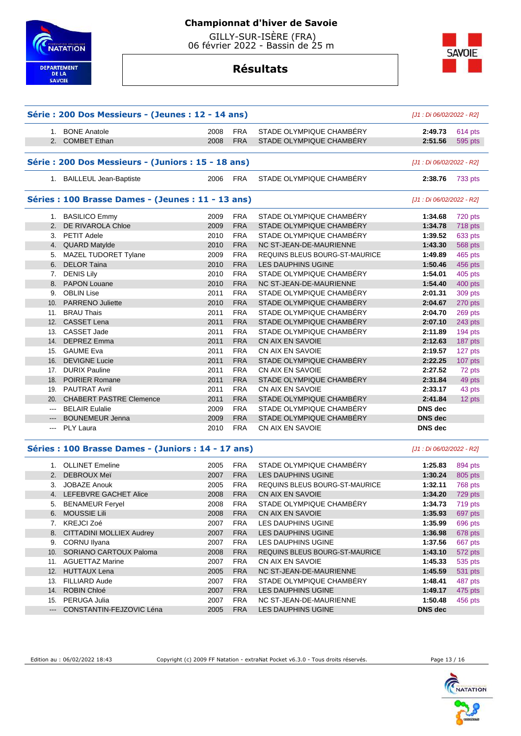



# **Résultats**

|                     | Série : 200 Dos Messieurs - (Jeunes : 12 - 14 ans)  |      |            |                                       | [J1 : Di 06/02/2022 - R2] |         |
|---------------------|-----------------------------------------------------|------|------------|---------------------------------------|---------------------------|---------|
|                     | 1. BONE Anatole                                     | 2008 | <b>FRA</b> | STADE OLYMPIQUE CHAMBÉRY              | 2:49.73                   | 614 pts |
|                     | 2. COMBET Ethan                                     | 2008 | <b>FRA</b> | STADE OLYMPIQUE CHAMBÉRY              | 2:51.56                   | 595 pts |
|                     | Série : 200 Dos Messieurs - (Juniors : 15 - 18 ans) |      |            |                                       | [J1 : Di 06/02/2022 - R2] |         |
|                     | 1. BAILLEUL Jean-Baptiste                           | 2006 | FRA        | STADE OLYMPIQUE CHAMBÉRY              | 2:38.76                   | 733 pts |
|                     | Séries : 100 Brasse Dames - (Jeunes : 11 - 13 ans)  |      |            |                                       | [J1 : Di 06/02/2022 - R2] |         |
|                     | 1. BASILICO Emmy                                    | 2009 | <b>FRA</b> | STADE OLYMPIQUE CHAMBÉRY              | 1:34.68                   | 720 pts |
|                     | 2. DE RIVAROLA Chloe                                | 2009 | <b>FRA</b> | STADE OLYMPIQUE CHAMBÉRY              | 1:34.78                   | 718 pts |
|                     | 3. PETIT Adele                                      | 2010 | <b>FRA</b> | STADE OLYMPIQUE CHAMBÉRY              | 1:39.52                   | 633 pts |
|                     | 4. QUARD Matylde                                    | 2010 | <b>FRA</b> | NC ST-JEAN-DE-MAURIENNE               | 1:43.30                   | 568 pts |
|                     | 5. MAZEL TUDORET Tylane                             | 2009 | <b>FRA</b> | REQUINS BLEUS BOURG-ST-MAURICE        | 1:49.89                   | 465 pts |
|                     | 6. DELOR Taina                                      | 2010 | <b>FRA</b> | LES DAUPHINS UGINE                    | 1:50.46                   | 456 pts |
|                     | 7. DENIS Lily                                       | 2010 | <b>FRA</b> | STADE OLYMPIQUE CHAMBERY              | 1:54.01                   | 405 pts |
|                     | 8. PAPON Louane                                     | 2010 | <b>FRA</b> | NC ST-JEAN-DE-MAURIENNE               | 1:54.40                   | 400 pts |
|                     | 9. OBLIN Lise                                       | 2011 | <b>FRA</b> | STADE OLYMPIQUE CHAMBÉRY              | 2:01.31                   | 309 pts |
|                     | 10. PARRENO Juliette                                | 2010 | <b>FRA</b> | STADE OLYMPIQUE CHAMBÉRY              | 2:04.67                   | 270 pts |
|                     | 11. BRAU Thais                                      | 2011 | <b>FRA</b> | STADE OLYMPIQUE CHAMBERY              | 2:04.70                   | 269 pts |
|                     | 12. CASSET Lena                                     | 2011 | <b>FRA</b> | STADE OLYMPIQUE CHAMBÉRY              | 2:07.10                   | 243 pts |
|                     | 13. CASSET Jade                                     | 2011 | <b>FRA</b> | STADE OLYMPIQUE CHAMBERY              | 2:11.89                   | 194 pts |
|                     | 14. DEPREZ Emma                                     | 2011 | <b>FRA</b> | CN AIX EN SAVOIE                      | 2:12.63                   | 187 pts |
|                     | 15. GAUME Eva                                       | 2011 | <b>FRA</b> | CN AIX EN SAVOIE                      | 2:19.57                   | 127 pts |
|                     | 16. DEVIGNE Lucie                                   | 2011 | <b>FRA</b> | STADE OLYMPIQUE CHAMBERY              | 2:22.25                   | 107 pts |
|                     | 17. DURIX Pauline                                   | 2011 | <b>FRA</b> | CN AIX EN SAVOIE                      | 2:27.52                   | 72 pts  |
|                     | 18. POIRIER Romane                                  | 2011 | <b>FRA</b> | STADE OLYMPIQUE CHAMBERY              | 2:31.84                   | 49 pts  |
|                     |                                                     |      |            |                                       |                           |         |
|                     | 19. PAUTRAT Avril                                   | 2011 | <b>FRA</b> | CN AIX EN SAVOIE                      | 2:33.17                   | 43 pts  |
|                     | 20. CHABERT PASTRE Clemence                         | 2011 | <b>FRA</b> | STADE OLYMPIQUE CHAMBÉRY              | 2:41.84                   | 12 pts  |
| ---                 | <b>BELAIR Eulalie</b>                               | 2009 | <b>FRA</b> | STADE OLYMPIQUE CHAMBÉRY              | DNS dec                   |         |
| $\qquad \qquad - -$ | <b>BOUNEMEUR Jenna</b>                              | 2009 | <b>FRA</b> | STADE OLYMPIQUE CHAMBERY              | <b>DNS dec</b>            |         |
| $\qquad \qquad - -$ | <b>PLY Laura</b>                                    | 2010 | <b>FRA</b> | CN AIX EN SAVOIE                      | DNS dec                   |         |
|                     | Séries : 100 Brasse Dames - (Juniors : 14 - 17 ans) |      |            |                                       | [J1 : Di 06/02/2022 - R2] |         |
|                     | 1. OLLINET Emeline                                  | 2005 | <b>FRA</b> | STADE OLYMPIQUE CHAMBÉRY              | 1:25.83                   | 894 pts |
|                     | 2. DEBROUX Meï                                      | 2007 | <b>FRA</b> | <b>LES DAUPHINS UGINE</b>             | 1:30.24                   | 805 pts |
|                     | 3. JOBAZE Anouk                                     | 2005 | <b>FRA</b> | REQUINS BLEUS BOURG-ST-MAURICE        | 1:32.11                   | 768 pts |
|                     | 4. LEFEBVRE GACHET Alice                            | 2008 | <b>FRA</b> | CN AIX EN SAVOIE                      | 1:34.20                   | 729 pts |
|                     | 5. BENAMEUR Feryel                                  | 2008 | <b>FRA</b> | STADE OLYMPIQUE CHAMBÉRY              | 1:34.73                   | 719 pts |
|                     | 6. MOUSSIE Lili                                     | 2008 | <b>FRA</b> | CN AIX EN SAVOIE                      | 1:35.93                   | 697 pts |
|                     | 7. KREJCI Zoé                                       | 2007 | <b>FRA</b> | LES DAUPHINS UGINE                    | 1:35.99                   | 696 pts |
|                     | 8. CITTADINI MOLLIEX Audrey                         | 2007 | <b>FRA</b> | LES DAUPHINS UGINE                    | 1:36.98                   | 678 pts |
|                     | 9. CORNU Ilyana                                     | 2007 | <b>FRA</b> | LES DAUPHINS UGINE                    | 1:37.56                   | 667 pts |
|                     | 10. SORIANO CARTOUX Paloma                          | 2008 | <b>FRA</b> | <b>REQUINS BLEUS BOURG-ST-MAURICE</b> | 1:43.10                   | 572 pts |
|                     | 11. AGUETTAZ Marine                                 | 2007 | FRA        | CN AIX EN SAVOIE                      | 1:45.33                   | 535 pts |
|                     | 12. HUTTAUX Lena                                    | 2005 | <b>FRA</b> | NC ST-JEAN-DE-MAURIENNE               | 1:45.59                   | 531 pts |
|                     | 13. FILLIARD Aude                                   | 2007 | <b>FRA</b> | STADE OLYMPIQUE CHAMBERY              | 1:48.41                   | 487 pts |
|                     | 14. ROBIN Chloé                                     | 2007 | <b>FRA</b> | LES DAUPHINS UGINE                    | 1:49.17                   | 475 pts |
|                     | 15. PERUGA Julia                                    | 2007 | <b>FRA</b> | NC ST-JEAN-DE-MAURIENNE               | 1:50.48                   | 456 pts |
|                     | --- CONSTANTIN-FEJZOVIC Léna                        | 2005 | <b>FRA</b> | LES DAUPHINS UGINE                    | DNS dec                   |         |
|                     |                                                     |      |            |                                       |                           |         |

Edition au : 06/02/2022 18:43 Copyright (c) 2009 FF Natation - extraNat Pocket v6.3.0 - Tous droits réservés. Page 13 / 16

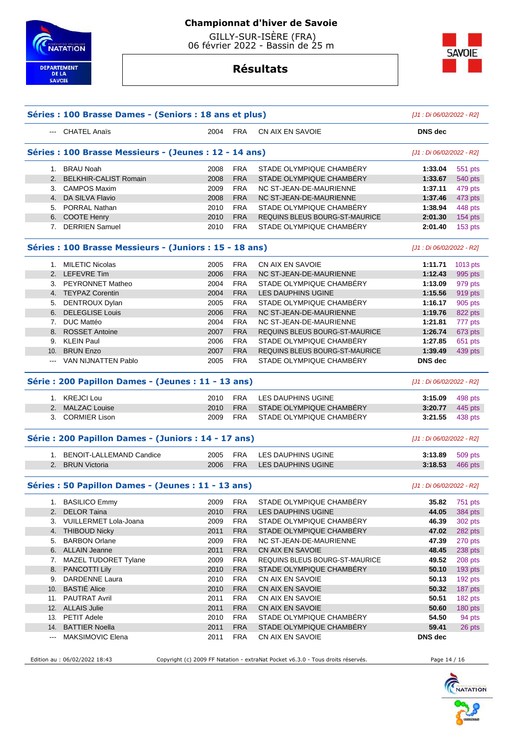

# **Résultats**



|     | --- CHATEL Anaïs                                        | 2004         | <b>FRA</b>               | CN AIX EN SAVOIE                             | <b>DNS</b> dec            |                                                                                    |
|-----|---------------------------------------------------------|--------------|--------------------------|----------------------------------------------|---------------------------|------------------------------------------------------------------------------------|
|     |                                                         |              |                          |                                              |                           |                                                                                    |
|     | Séries : 100 Brasse Messieurs - (Jeunes : 12 - 14 ans)  |              |                          |                                              | [J1 : Di 06/02/2022 - R2] |                                                                                    |
|     | 1. BRAU Noah                                            | 2008         | <b>FRA</b>               | STADE OLYMPIQUE CHAMBERY                     | 1:33.04                   | 551 pts                                                                            |
| 2.  | <b>BELKHIR-CALIST Romain</b>                            | 2008         | <b>FRA</b>               | STADE OLYMPIQUE CHAMBÉRY                     | 1:33.67                   | 540 pts                                                                            |
|     | 3. CAMPOS Maxim                                         | 2009         | <b>FRA</b>               | NC ST-JEAN-DE-MAURIENNE                      | 1:37.11                   | 479 pts                                                                            |
|     | 4. DA SILVA Flavio                                      | 2008         | <b>FRA</b>               | NC ST-JEAN-DE-MAURIENNE                      | 1:37.46                   | 473 pts                                                                            |
|     | 5. PORRAL Nathan                                        | 2010         | <b>FRA</b>               | STADE OLYMPIQUE CHAMBÉRY                     | 1:38.94                   | 448 pts                                                                            |
|     | 6. COOTE Henry                                          | 2010         | <b>FRA</b>               | <b>REQUINS BLEUS BOURG-ST-MAURICE</b>        | 2:01.30                   | 154 pts                                                                            |
|     | 7. DERRIEN Samuel                                       | 2010         | <b>FRA</b>               | STADE OLYMPIQUE CHAMBERY                     | 2:01.40                   | 153 pts                                                                            |
|     | Séries : 100 Brasse Messieurs - (Juniors : 15 - 18 ans) |              |                          |                                              | [J1 : Di 06/02/2022 - R2] |                                                                                    |
|     | 1. MILETIC Nicolas                                      | 2005         | <b>FRA</b>               | CN AIX EN SAVOIE                             | 1:11.71                   | 1013 pts                                                                           |
|     | 2. LEFEVRE Tim                                          | 2006         | <b>FRA</b>               | NC ST-JEAN-DE-MAURIENNE                      | 1:12.43                   | 995 pts                                                                            |
|     | 3. PEYRONNET Matheo                                     | 2004         | <b>FRA</b>               | STADE OLYMPIQUE CHAMBERY                     | 1:13.09                   | 979 pts                                                                            |
|     | 4. TEYPAZ Corentin                                      | 2004         | <b>FRA</b>               | <b>LES DAUPHINS UGINE</b>                    | 1:15.56                   | 919 pts                                                                            |
|     | 5. DENTROUX Dylan                                       | 2005         | <b>FRA</b>               | STADE OLYMPIQUE CHAMBÉRY                     | 1:16.17                   | 905 pts                                                                            |
|     | 6. DELEGLISE Louis                                      | 2006         | <b>FRA</b>               | NC ST-JEAN-DE-MAURIENNE                      | 1:19.76                   | 822 pts                                                                            |
|     | 7. DUC Mattéo                                           | 2004         | <b>FRA</b>               | NC ST-JEAN-DE-MAURIENNE                      | 1:21.81                   | 777 pts                                                                            |
|     | 8. ROSSET Antoine                                       | 2007         | <b>FRA</b>               | <b>REQUINS BLEUS BOURG-ST-MAURICE</b>        | 1:26.74                   | 673 pts                                                                            |
| 9.  | <b>KLEIN Paul</b>                                       | 2006         | <b>FRA</b>               | STADE OLYMPIQUE CHAMBERY                     | 1:27.85                   | 651 pts                                                                            |
| 10. | <b>BRUN Enzo</b>                                        | 2007         | <b>FRA</b>               | REQUINS BLEUS BOURG-ST-MAURICE               | 1:39.49                   | 439 pts                                                                            |
|     | --- VAN NIJNATTEN Pablo                                 | 2005         | <b>FRA</b>               | STADE OLYMPIQUE CHAMBERY                     | <b>DNS</b> dec            |                                                                                    |
|     | Série : 200 Papillon Dames - (Jeunes : 11 - 13 ans)     |              |                          |                                              | [J1 : Di 06/02/2022 - R2] |                                                                                    |
|     | 1. KREJCI Lou                                           | 2010         | <b>FRA</b>               | LES DAUPHINS UGINE                           | 3:15.09                   | 498 pts                                                                            |
|     | 2. MALZAC Louise                                        | 2010         | <b>FRA</b>               | STADE OLYMPIQUE CHAMBÉRY                     | 3:20.77                   | 445 pts                                                                            |
|     | 3. CORMIER Lison                                        | 2009         | <b>FRA</b>               | STADE OLYMPIQUE CHAMBERY                     | 3:21.55                   | 438 pts                                                                            |
|     | Série : 200 Papillon Dames - (Juniors : 14 - 17 ans)    |              |                          |                                              | [J1 : Di 06/02/2022 - R2] |                                                                                    |
|     | 1. BENOIT-LALLEMAND Candice                             | 2005         | <b>FRA</b>               | LES DAUPHINS UGINE                           | 3:13.89                   | 509 pts                                                                            |
|     | 2. BRUN Victoria                                        | 2006         | <b>FRA</b>               | <b>LES DAUPHINS UGINE</b>                    | 3:18.53                   | 466 pts                                                                            |
|     | Séries : 50 Papillon Dames - (Jeunes : 11 - 13 ans)     |              |                          |                                              | [J1 : Di 06/02/2022 - R2] |                                                                                    |
|     | 1. BASILICO Emmy                                        | 2009         | <b>FRA</b>               | STADE OLYMPIQUE CHAMBERY                     | 35.82                     | 751 pts                                                                            |
|     | 2. DELOR Taina                                          | 2010         | <b>FRA</b>               | LES DAUPHINS UGINE                           | 44.05                     | 384 pts                                                                            |
|     | 3. VUILLERMET Lola-Joana                                | 2009         | <b>FRA</b>               | STADE OLYMPIQUE CHAMBÉRY                     | 46.39                     | 302 pts                                                                            |
|     | 4. THIBOUD Nicky                                        | 2011         | <b>FRA</b>               | STADE OLYMPIQUE CHAMBÉRY                     | 47.02                     | 282 pts                                                                            |
|     | <b>BARBON Orlane</b>                                    | 2009         | <b>FRA</b>               | NC ST-JEAN-DE-MAURIENNE                      | 47.39                     | 270 pts                                                                            |
| 5.  |                                                         |              | <b>FRA</b>               | CN AIX EN SAVOIE                             | 48.45                     | 238 pts                                                                            |
|     | 6. ALLAIN Jeanne                                        | 2011         |                          |                                              |                           |                                                                                    |
| 7.  |                                                         | 2009         | <b>FRA</b>               | REQUINS BLEUS BOURG-ST-MAURICE               | 49.52                     |                                                                                    |
| 8.  | MAZEL TUDORET Tylane<br><b>PANCOTTI Lily</b>            | 2010         | <b>FRA</b>               | STADE OLYMPIQUE CHAMBERY                     | 50.10                     |                                                                                    |
| 9.  | <b>DARDENNE Laura</b>                                   | 2010         | <b>FRA</b>               | CN AIX EN SAVOIE                             | 50.13                     |                                                                                    |
| 10. |                                                         |              |                          |                                              |                           |                                                                                    |
|     | <b>BASTIÉ Alice</b><br>11. PAUTRAT Avril                | 2010         | <b>FRA</b><br>FRA        | CN AIX EN SAVOIE<br>CN AIX EN SAVOIE         | 50.32<br>50.51            |                                                                                    |
|     |                                                         | 2011         |                          |                                              |                           |                                                                                    |
|     | 12. ALLAIS Julie                                        | 2011         | <b>FRA</b>               | CN AIX EN SAVOIE                             | 50.60                     |                                                                                    |
|     | 13. PETIT Adele                                         | 2010         | <b>FRA</b>               | STADE OLYMPIQUE CHAMBÉRY                     | 54.50                     |                                                                                    |
| --- | 14. BATTIER Noella<br><b>MAKSIMOVIC Elena</b>           | 2011<br>2011 | <b>FRA</b><br><b>FRA</b> | STADE OLYMPIQUE CHAMBERY<br>CN AIX EN SAVOIE | 59.41<br>DNS dec          | 208 pts<br>193 pts<br>192 pts<br>187 pts<br>182 pts<br>180 pts<br>94 pts<br>26 pts |

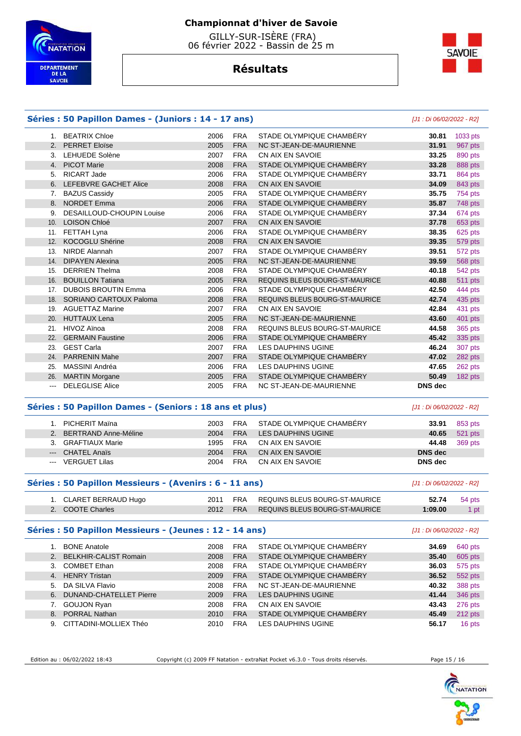

 GILLY-SUR-ISÈRE (FRA) 06 février 2022 - Bassin de 25 m



# **Résultats**

#### **Séries : 50 Papillon Dames - (Juniors : 14 - 17 ans)** [J1 : Di 06/02/2022 - R2] 1. BEATRIX Chloe 2006 FRA STADE OLYMPIQUE CHAMBÉRY **30.81** 1033 pts 2. PERRET Eloïse 2005 FRA NC ST-JEAN-DE-MAURIENNE **31.91** 967 pts 3. LEHUEDE Solène 2007 FRA CN AIX EN SAVOIE **33.25** 890 pts 4. PICOT Marie 2008 FRA STADE OLYMPIQUE CHAMBÉRY **33.28** 888 pts 5. RICART Jade 2006 FRA STADE OLYMPIQUE CHAMBÉRY **33.71** 864 pts 6. LEFEBVRE GACHET Alice 2008 FRA CN AIX EN SAVOIE **34.09** 843 pts 7. BAZUS Cassidy 2005 FRA STADE OLYMPIQUE CHAMBÉRY **35.75** 754 pts 8. NORDET Emma 2006 FRA STADE OLYMPIQUE CHAMBÉRY **35.87** 748 pts 9. DESAILLOUD-CHOUPIN Louise 2006 FRA STADE OLYMPIQUE CHAMBÉRY **37.34** 674 pts 10. LOISON Chloé 2007 FRA CN AIX EN SAVOIE **37.78** 653 pts 11. FETTAH Lyna 2006 FRA STADE OLYMPIQUE CHAMBÉRY **38.35** 625 pts 12. KOCOGLU Shérine 2008 FRA CN AIX EN SAVOIE **39.35** 579 pts 13. NIRDE Alannah 2007 FRA STADE OLYMPIQUE CHAMBÉRY **39.51** 572 pts 14. DIPAYEN Alexina 2005 FRA NC ST-JEAN-DE-MAURIENNE **39.59** 568 pts 15. DERRIEN Thelma 2008 FRA STADE OLYMPIQUE CHAMBÉRY **40.18** 542 pts 16. BOUILLON Tatiana 2005 FRA REQUINS BLEUS BOURG-ST-MAURICE **40.88** 511 pts 17. DUBOIS BROUTIN Emma 2006 FRA STADE OLYMPIQUE CHAMBÉRY **42.50** 444 pts 18. SORIANO CARTOUX Paloma 2008 FRA REQUINS BLEUS BOURG-ST-MAURICE **42.74** 435 pts 19. AGUETTAZ Marine 2007 FRA CN AIX EN SAVOIE **42.84** 431 pts 20. HUTTAUX Lena 2005 FRA NC ST-JEAN-DE-MAURIENNE **43.60** 401 pts 21. HIVOZ Aïnoa 2008 FRA REQUINS BLEUS BOURG-ST-MAURICE **44.58** 365 pts 22. GERMAIN Faustine 2006 FRA STADE OLYMPIQUE CHAMBÉRY **45.42** 335 pts 23. GEST Carla 2007 FRA LES DAUPHINS UGINE **46.24** 307 pts 24. PARRENIN Mahe 2007 FRA STADE OLYMPIQUE CHAMBÉRY **47.02** 282 pts 25. MASSINI Andréa 2006 FRA LES DAUPHINS UGINE **47.65** 262 pts 26. MARTIN Morgane 2005 FRA STADE OLYMPIQUE CHAMBÉRY **50.49** 182 pts --- DELEGLISE Alice 2005 FRA NC ST-JEAN-DE-MAURIENNE **DNS dec**

#### **Séries : 50 Papillon Dames - (Seniors : 18 ans et plus)** [J1 : Di 06/02/2022 - R2]

| 1. PICHERIT Maïna       | 2003 | <b>FRA</b> | STADE OLYMPIQUE CHAMBÉRY | 33.91          | 853 pts       |
|-------------------------|------|------------|--------------------------|----------------|---------------|
| 2. BERTRAND Anne-Méline | 2004 | <b>FRA</b> | LES DAUPHINS UGINE       | 40.65          | 521 pts       |
| 3. GRAFTIAUX Marie      | 1995 | <b>FRA</b> | CN AIX EN SAVOIE         |                | 44.48 369 pts |
| --- CHATEL Anaïs        | 2004 | <b>FRA</b> | CN AIX EN SAVOIE         | <b>DNS</b> dec |               |
| --- VERGUET Lilas       | 2004 | <b>FRA</b> | CN AIX EN SAVOIE         | DNS dec        |               |

#### **Séries : 50 Papillon Messieurs - (Avenirs : 6 - 11 ans)** [J1 : Di 06/02/2022 - R2]

| 1. CLARET BERRAUD Hugo |          | 2011 FRA REQUINS BLEUS BOURG-ST-MAURICE | 52.74   | 54 pts |
|------------------------|----------|-----------------------------------------|---------|--------|
| 2. COOTE Charles       | 2012 FRA | REQUINS BLEUS BOURG-ST-MAURICE          | 1:09.00 |        |

#### **Séries : 50 Papillon Messieurs - (Jeunes : 12 - 14 ans)** [J1 : Di 06/02/2022 - R2]

|    | <b>BONE Anatole</b>        | 2008 | <b>FRA</b> | STADE OLYMPIQUE CHAMBÉRY | 34.69 | 640 pts |
|----|----------------------------|------|------------|--------------------------|-------|---------|
|    | 2. BELKHIR-CALIST Romain   | 2008 | <b>FRA</b> | STADE OLYMPIQUE CHAMBÉRY | 35.40 | 605 pts |
| 3. | <b>COMBET Ethan</b>        | 2008 | <b>FRA</b> | STADE OLYMPIQUE CHAMBÉRY | 36.03 | 575 pts |
|    | 4. HENRY Tristan           | 2009 | <b>FRA</b> | STADE OLYMPIQUE CHAMBERY | 36.52 | 552 pts |
|    | 5. DA SILVA Flavio         | 2008 | <b>FRA</b> | NC ST-JEAN-DE-MAURIENNE  | 40.32 | 388 pts |
|    | 6. DUNAND-CHATELLET Pierre | 2009 | <b>FRA</b> | LES DAUPHINS UGINE       | 41.44 | 346 pts |
|    | 7. GOUJON Ryan             | 2008 | <b>FRA</b> | CN AIX EN SAVOIE         | 43.43 | 276 pts |
| 8. | <b>PORRAL Nathan</b>       | 2010 | <b>FRA</b> | STADE OLYMPIQUE CHAMBÉRY | 45.49 | 212 pts |
| 9. | CITTADINI-MOLLIEX Théo     | 2010 | <b>FRA</b> | LES DAUPHINS UGINE       | 56.17 | 16 pts  |

Edition au : 06/02/2022 18:43 Copyright (c) 2009 FF Natation - extraNat Pocket v6.3.0 - Tous droits réservés. Page 15 / 16